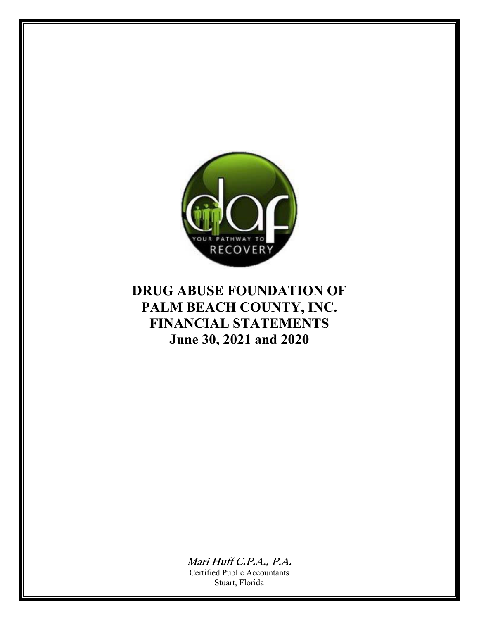

# **DRUG ABUSE FOUNDATION OF PALM BEACH COUNTY, INC. FINANCIAL STATEMENTS June 30, 2021 and 2020**

**Mari Huff C.P.A., P.A.**  Certified Public Accountants Stuart, Florida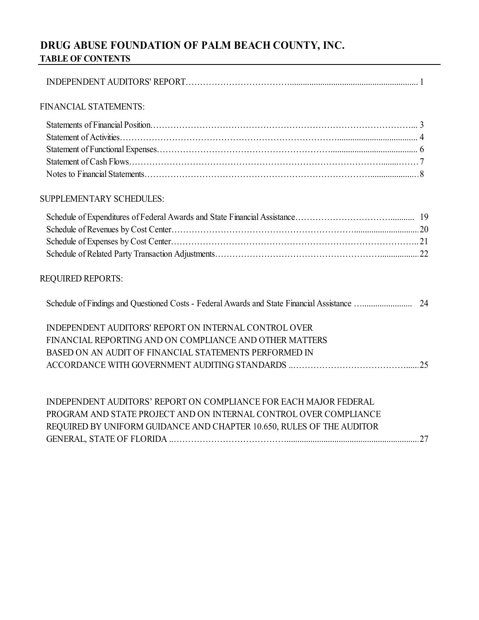## **DRUG ABUSE FOUNDATION OF PALM BEACH COUNTY, INC. TABLE OF CONTENTS**

#### FINANCIAL STATEMENTS:

#### SUPPLEMENTARY SCHEDULES:

### REQUIRED REPORTS:

| <b>INDEPENDENT AUDITORS' REPORT ON INTERNAL CONTROL OVER</b> |  |
|--------------------------------------------------------------|--|
| FINANCIAL REPORTING AND ON COMPLIANCE AND OTHER MATTERS      |  |
| BASED ON AN AUDIT OF FINANCIAL STATEMENTS PERFORMED IN       |  |
|                                                              |  |

INDEPENDENT AUDITORS' REPORT ON COMPLIANCE FOR EACH MAJOR FEDERAL PROGRAM AND STATE PROJECT AND ON INTERNAL CONTROL OVER COMPLIANCE REQUIRED BY UNIFORM GUIDANCE AND CHAPTER 10.650, RULES OF THE AUDITOR 27 GENERAL, STATE OF FLORIDA ..………………………………….............................................................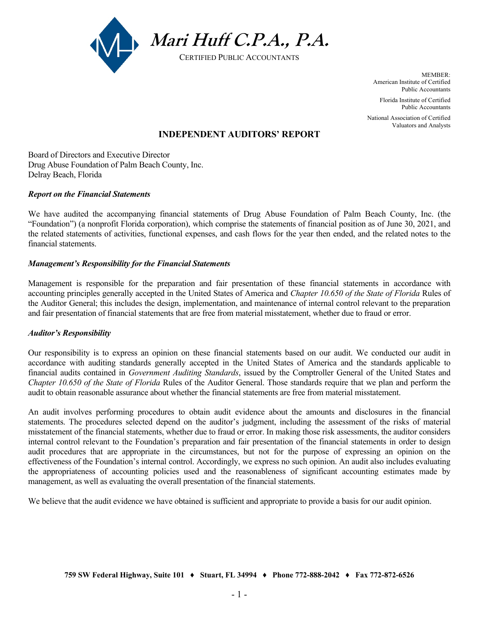

MEMBER: American Institute of Certified Public Accountants

> Florida Institute of Certified Public Accountants

National Association of Certified Valuators and Analysts

#### **INDEPENDENT AUDITORS' REPORT**

Board of Directors and Executive Director Drug Abuse Foundation of Palm Beach County, Inc. Delray Beach, Florida

#### *Report on the Financial Statements*

We have audited the accompanying financial statements of Drug Abuse Foundation of Palm Beach County, Inc. (the "Foundation") (a nonprofit Florida corporation), which comprise the statements of financial position as of June 30, 2021, and the related statements of activities, functional expenses, and cash flows for the year then ended, and the related notes to the financial statements.

#### *Management's Responsibility for the Financial Statements*

Management is responsible for the preparation and fair presentation of these financial statements in accordance with accounting principles generally accepted in the United States of America and *Chapter 10.650 of the State of Florida* Rules of the Auditor General; this includes the design, implementation, and maintenance of internal control relevant to the preparation and fair presentation of financial statements that are free from material misstatement, whether due to fraud or error.

#### *Auditor's Responsibility*

Our responsibility is to express an opinion on these financial statements based on our audit. We conducted our audit in accordance with auditing standards generally accepted in the United States of America and the standards applicable to financial audits contained in *Government Auditing Standards*, issued by the Comptroller General of the United States and *Chapter 10.650 of the State of Florida* Rules of the Auditor General. Those standards require that we plan and perform the audit to obtain reasonable assurance about whether the financial statements are free from material misstatement.

An audit involves performing procedures to obtain audit evidence about the amounts and disclosures in the financial statements. The procedures selected depend on the auditor's judgment, including the assessment of the risks of material misstatement of the financial statements, whether due to fraud or error. In making those risk assessments, the auditor considers internal control relevant to the Foundation's preparation and fair presentation of the financial statements in order to design audit procedures that are appropriate in the circumstances, but not for the purpose of expressing an opinion on the effectiveness of the Foundation's internal control. Accordingly, we express no such opinion. An audit also includes evaluating the appropriateness of accounting policies used and the reasonableness of significant accounting estimates made by management, as well as evaluating the overall presentation of the financial statements.

We believe that the audit evidence we have obtained is sufficient and appropriate to provide a basis for our audit opinion.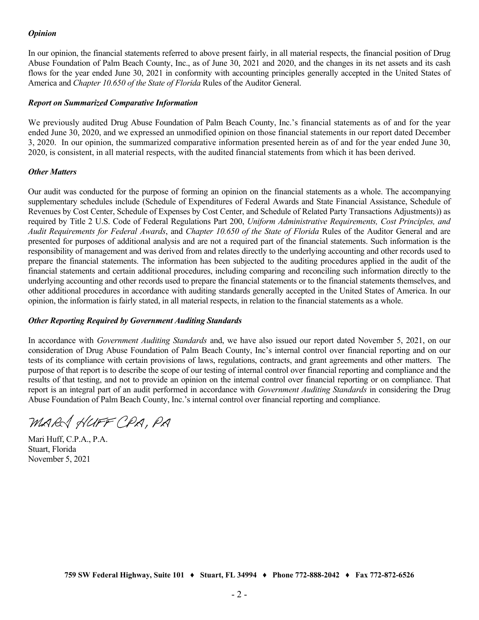#### *Opinion*

In our opinion, the financial statements referred to above present fairly, in all material respects, the financial position of Drug Abuse Foundation of Palm Beach County, Inc., as of June 30, 2021 and 2020, and the changes in its net assets and its cash flows for the year ended June 30, 2021 in conformity with accounting principles generally accepted in the United States of America and *Chapter 10.650 of the State of Florida* Rules of the Auditor General.

#### *Report on Summarized Comparative Information*

We previously audited Drug Abuse Foundation of Palm Beach County, Inc.'s financial statements as of and for the year ended June 30, 2020, and we expressed an unmodified opinion on those financial statements in our report dated December 3, 2020. In our opinion, the summarized comparative information presented herein as of and for the year ended June 30, 2020, is consistent, in all material respects, with the audited financial statements from which it has been derived.

#### *Other Matters*

Our audit was conducted for the purpose of forming an opinion on the financial statements as a whole. The accompanying supplementary schedules include (Schedule of Expenditures of Federal Awards and State Financial Assistance, Schedule of Revenues by Cost Center, Schedule of Expenses by Cost Center, and Schedule of Related Party Transactions Adjustments)) as required by Title 2 U.S. Code of Federal Regulations Part 200, *Uniform Administrative Requirements, Cost Principles, and Audit Requirements for Federal Awards*, and *Chapter 10.650 of the State of Florida* Rules of the Auditor General and are presented for purposes of additional analysis and are not a required part of the financial statements. Such information is the responsibility of management and was derived from and relates directly to the underlying accounting and other records used to prepare the financial statements. The information has been subjected to the auditing procedures applied in the audit of the financial statements and certain additional procedures, including comparing and reconciling such information directly to the underlying accounting and other records used to prepare the financial statements or to the financial statements themselves, and other additional procedures in accordance with auditing standards generally accepted in the United States of America. In our opinion, the information is fairly stated, in all material respects, in relation to the financial statements as a whole.

#### *Other Reporting Required by Government Auditing Standards*

In accordance with *Government Auditing Standards* and, we have also issued our report dated November 5, 2021, on our consideration of Drug Abuse Foundation of Palm Beach County, Inc's internal control over financial reporting and on our tests of its compliance with certain provisions of laws, regulations, contracts, and grant agreements and other matters. The purpose of that report is to describe the scope of our testing of internal control over financial reporting and compliance and the results of that testing, and not to provide an opinion on the internal control over financial reporting or on compliance. That report is an integral part of an audit performed in accordance with *Government Auditing Standards* in considering the Drug Abuse Foundation of Palm Beach County, Inc.'s internal control over financial reporting and compliance.

MARY HUFF CPA, PA

Mari Huff, C.P.A., P.A. Stuart, Florida November 5, 2021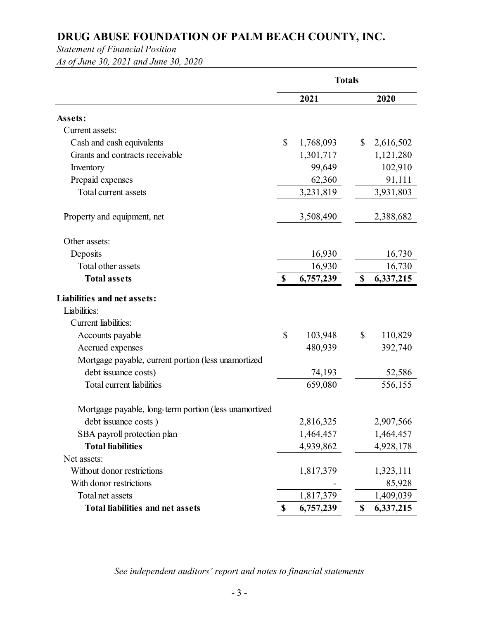## *Statement of Financial Position*

*As of June 30, 2021 and June 30, 2020*

|                                                       | <b>Totals</b> |           |    |           |
|-------------------------------------------------------|---------------|-----------|----|-----------|
|                                                       |               | 2021      |    | 2020      |
| Assets:                                               |               |           |    |           |
| Current assets:                                       |               |           |    |           |
| Cash and cash equivalents                             | \$            | 1,768,093 | \$ | 2,616,502 |
| Grants and contracts receivable                       |               | 1,301,717 |    | 1,121,280 |
| Inventory                                             |               | 99,649    |    | 102,910   |
| Prepaid expenses                                      |               | 62,360    |    | 91,111    |
| Total current assets                                  |               | 3,231,819 |    | 3,931,803 |
| Property and equipment, net                           |               | 3,508,490 |    | 2,388,682 |
| Other assets:                                         |               |           |    |           |
| Deposits                                              |               | 16,930    |    | 16,730    |
| Total other assets                                    |               | 16,930    |    | 16,730    |
| <b>Total assets</b>                                   | \$            | 6,757,239 | \$ | 6,337,215 |
| Liabilities and net assets:                           |               |           |    |           |
| Liabilities:                                          |               |           |    |           |
| Current liabilities:                                  |               |           |    |           |
| Accounts payable                                      | \$            | 103,948   | \$ | 110,829   |
| Accrued expenses                                      |               | 480,939   |    | 392,740   |
| Mortgage payable, current portion (less unamortized   |               |           |    |           |
| debt issuance costs)                                  |               | 74,193    |    | 52,586    |
| Total current liabilities                             |               | 659,080   |    | 556,155   |
| Mortgage payable, long-term portion (less unamortized |               |           |    |           |
| debt issuance costs)                                  |               | 2,816,325 |    | 2,907,566 |
| SBA payroll protection plan                           |               | 1,464,457 |    | 1,464,457 |
| <b>Total liabilities</b>                              |               | 4,939,862 |    | 4,928,178 |
| Net assets:                                           |               |           |    |           |
| Without donor restrictions                            |               | 1,817,379 |    | 1,323,111 |
| With donor restrictions                               |               |           |    | 85,928    |
| Total net assets                                      |               | 1,817,379 |    | 1,409,039 |
| Total liabilities and net assets                      | \$            | 6,757,239 | \$ | 6,337,215 |

*See independent auditors' report and notes to financial statements*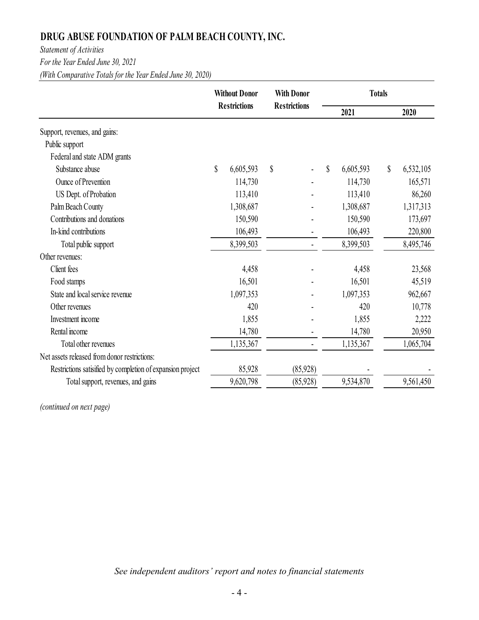## *Statement of Activities For the Year Ended June 30, 2021*

*(With Comparative Totals for the Year Ended June 30, 2020)*

|                                                           | <b>Without Donor</b><br><b>With Donor</b> |                     |          |                           | <b>Totals</b> |    |           |
|-----------------------------------------------------------|-------------------------------------------|---------------------|----------|---------------------------|---------------|----|-----------|
|                                                           | <b>Restrictions</b>                       | <b>Restrictions</b> |          |                           | 2021          |    | 2020      |
| Support, revenues, and gains:                             |                                           |                     |          |                           |               |    |           |
| Public support                                            |                                           |                     |          |                           |               |    |           |
| Federal and state ADM grants                              |                                           |                     |          |                           |               |    |           |
| Substance abuse                                           | \$<br>6,605,593                           | \$                  |          | $\boldsymbol{\mathsf{S}}$ | 6,605,593     | \$ | 6,532,105 |
| Ounce of Prevention                                       | 114,730                                   |                     |          |                           | 114,730       |    | 165,571   |
| US Dept. of Probation                                     | 113,410                                   |                     |          |                           | 113,410       |    | 86,260    |
| Palm Beach County                                         | 1,308,687                                 |                     |          |                           | 1,308,687     |    | 1,317,313 |
| Contributions and donations                               | 150,590                                   |                     |          |                           | 150,590       |    | 173,697   |
| In-kind contributions                                     | 106,493                                   |                     |          |                           | 106,493       |    | 220,800   |
| Total public support                                      | 8,399,503                                 |                     |          |                           | 8,399,503     |    | 8,495,746 |
| Other revenues:                                           |                                           |                     |          |                           |               |    |           |
| Client fees                                               | 4,458                                     |                     |          |                           | 4,458         |    | 23,568    |
| Food stamps                                               | 16,501                                    |                     |          |                           | 16,501        |    | 45,519    |
| State and local service revenue                           | 1,097,353                                 |                     |          |                           | 1,097,353     |    | 962,667   |
| Other revenues                                            | 420                                       |                     |          |                           | 420           |    | 10,778    |
| Investment income                                         | 1,855                                     |                     |          |                           | 1,855         |    | 2,222     |
| Rental income                                             | 14,780                                    |                     |          |                           | 14,780        |    | 20,950    |
| Total other revenues                                      | 1,135,367                                 |                     |          |                           | 1,135,367     |    | 1,065,704 |
| Net assets released from donor restrictions:              |                                           |                     |          |                           |               |    |           |
| Restrictions satisfied by completion of expansion project | 85,928                                    |                     | (85,928) |                           |               |    |           |
| Total support, revenues, and gains                        | 9,620,798                                 |                     | (85,928) |                           | 9,534,870     |    | 9,561,450 |

*(continued on next page)*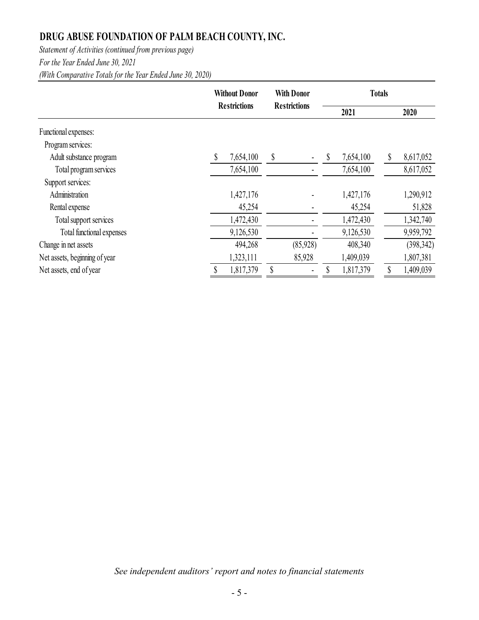*(With Comparative Totals for the Year Ended June 30, 2020) Statement of Activities (continued from previous page) For the Year Ended June 30, 2021*

|                               | <b>Without Donor</b><br><b>With Donor</b> |                     |          |      | <b>Totals</b> |    |            |
|-------------------------------|-------------------------------------------|---------------------|----------|------|---------------|----|------------|
|                               | <b>Restrictions</b>                       | <b>Restrictions</b> |          | 2021 |               |    | 2020       |
| Functional expenses:          |                                           |                     |          |      |               |    |            |
| Program services:             |                                           |                     |          |      |               |    |            |
| Adult substance program       | 7,654,100                                 | \$                  |          | S    | 7,654,100     |    | 8,617,052  |
| Total program services        | 7,654,100                                 |                     |          |      | 7,654,100     |    | 8,617,052  |
| Support services:             |                                           |                     |          |      |               |    |            |
| Administration                | 1,427,176                                 |                     |          |      | 1,427,176     |    | 1,290,912  |
| Rental expense                | 45,254                                    |                     |          |      | 45,254        |    | 51,828     |
| Total support services        | 1,472,430                                 |                     |          |      | 1,472,430     |    | 1,342,740  |
| Total functional expenses     | 9,126,530                                 |                     |          |      | 9,126,530     |    | 9,959,792  |
| Change in net assets          | 494,268                                   |                     | (85,928) |      | 408,340       |    | (398, 342) |
| Net assets, beginning of year | 1,323,111                                 |                     | 85,928   |      | 1,409,039     |    | 1,807,381  |
| Net assets, end of year       | \$<br>1,817,379                           | \$                  |          | \$   | 1,817,379     | \$ | 1,409,039  |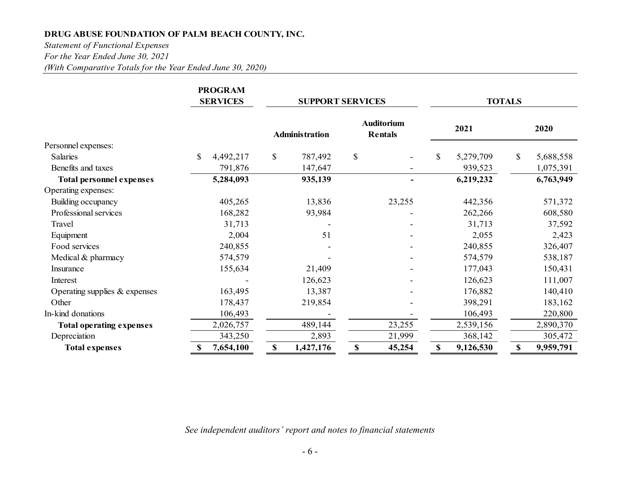*Statement of Functional Expenses For the Year Ended June 30, 2021 (With Comparative Totals for the Year Ended June 30, 2020)*

|                                 | <b>PROGRAM</b><br><b>SERVICES</b> |             | <b>SUPPORT SERVICES</b> |             |                              |                 | <b>TOTALS</b> |           |  |
|---------------------------------|-----------------------------------|-------------|-------------------------|-------------|------------------------------|-----------------|---------------|-----------|--|
|                                 |                                   |             | <b>Administration</b>   |             | Auditorium<br><b>Rentals</b> | 2021            |               | 2020      |  |
| Personnel expenses:             |                                   |             |                         |             |                              |                 |               |           |  |
| <b>Salaries</b>                 | \$<br>4,492,217                   | $\mathbb S$ | 787,492                 | \$          | $\overline{\phantom{0}}$     | \$<br>5,279,709 | \$            | 5,688,558 |  |
| Benefits and taxes              | 791,876                           |             | 147,647                 |             |                              | 939,523         |               | 1,075,391 |  |
| <b>Total personnel expenses</b> | 5,284,093                         |             | 935,139                 |             |                              | 6,219,232       |               | 6,763,949 |  |
| Operating expenses:             |                                   |             |                         |             |                              |                 |               |           |  |
| Building occupancy              | 405,265                           |             | 13,836                  |             | 23,255                       | 442,356         |               | 571,372   |  |
| Professional services           | 168,282                           |             | 93,984                  |             |                              | 262,266         |               | 608,580   |  |
| Travel                          | 31,713                            |             |                         |             |                              | 31,713          |               | 37,592    |  |
| Equipment                       | 2,004                             |             | 51                      |             |                              | 2,055           |               | 2,423     |  |
| Food services                   | 240,855                           |             |                         |             |                              | 240,855         |               | 326,407   |  |
| Medical & pharmacy              | 574,579                           |             |                         |             |                              | 574,579         |               | 538,187   |  |
| Insurance                       | 155,634                           |             | 21,409                  |             |                              | 177,043         |               | 150,431   |  |
| Interest                        |                                   |             | 126,623                 |             |                              | 126,623         |               | 111,007   |  |
| Operating supplies $&$ expenses | 163,495                           |             | 13,387                  |             |                              | 176,882         |               | 140,410   |  |
| Other                           | 178,437                           |             | 219,854                 |             |                              | 398,291         |               | 183,162   |  |
| In-kind donations               | 106,493                           |             |                         |             |                              | 106,493         |               | 220,800   |  |
| <b>Total operating expenses</b> | 2,026,757                         |             | 489,144                 |             | 23,255                       | 2,539,156       |               | 2,890,370 |  |
| Depreciation                    | 343,250                           |             | 2,893                   |             | 21,999                       | 368,142         |               | 305,472   |  |
| <b>Total expenses</b>           | 7,654,100<br>S                    | $\mathbb S$ | 1,427,176               | $\mathbb S$ | 45,254                       | \$<br>9,126,530 | $\$$          | 9,959,791 |  |

*See independent auditors' report and notes to financial statements*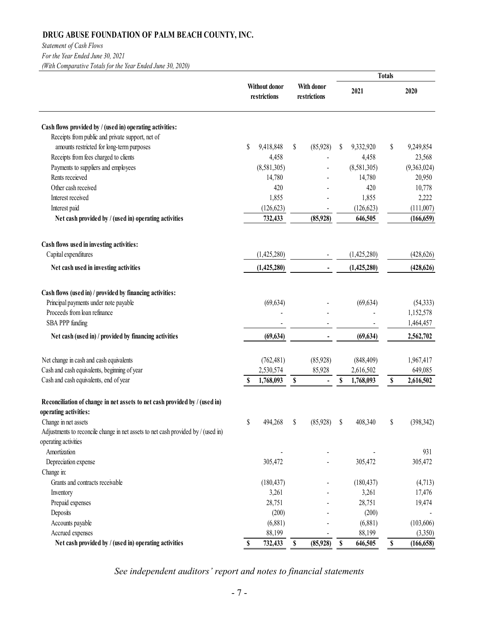*Statement of Cash Flows*

*For the Year Ended June 30, 2021*

*(With Comparative Totals for the Year Ended June 30, 2020)*

|                                                                                   |                               |             |                            |          |              | <b>Totals</b> |                  |             |  |
|-----------------------------------------------------------------------------------|-------------------------------|-------------|----------------------------|----------|--------------|---------------|------------------|-------------|--|
|                                                                                   | Without donor<br>restrictions |             | With donor<br>restrictions |          | 2021         |               |                  | 2020        |  |
| Cash flows provided by / (used in) operating activities:                          |                               |             |                            |          |              |               |                  |             |  |
| Receipts from public and private support, net of                                  |                               |             |                            |          |              |               |                  |             |  |
| amounts restricted for long-term purposes                                         | \$                            | 9,418,848   | \$                         | (85,928) | S            | 9,332,920     | \$               | 9,249,854   |  |
| Receipts from fees charged to clients                                             |                               | 4,458       |                            |          |              | 4,458         |                  | 23,568      |  |
| Payments to suppliers and employees                                               |                               | (8,581,305) |                            |          |              | (8,581,305)   |                  | (9,363,024) |  |
| Rents receieved                                                                   |                               | 14,780      |                            |          |              | 14,780        |                  | 20,950      |  |
| Other cash received                                                               |                               | 420         |                            |          |              | 420           |                  | 10,778      |  |
| Interest received                                                                 |                               | 1,855       |                            |          |              | 1,855         |                  | 2,222       |  |
| Interest paid                                                                     |                               | (126, 623)  |                            |          |              | (126, 623)    |                  | (111,007)   |  |
| Net cash provided by / (used in) operating activities                             |                               | 732,433     |                            | (85,928) |              | 646,505       |                  | (166, 659)  |  |
| Cash flows used in investing activities:                                          |                               |             |                            |          |              |               |                  |             |  |
| Capital expenditures                                                              |                               | (1,425,280) |                            |          |              | (1,425,280)   |                  | (428, 626)  |  |
| Net cash used in investing activities                                             |                               | (1,425,280) |                            |          |              | (1,425,280)   |                  | (428, 626)  |  |
|                                                                                   |                               |             |                            |          |              |               |                  |             |  |
| Cash flows (used in) / provided by financing activities:                          |                               |             |                            |          |              |               |                  |             |  |
| Principal payments under note payable                                             |                               | (69, 634)   |                            |          |              | (69, 634)     |                  | (54, 333)   |  |
| Proceeds from loan refinance                                                      |                               |             |                            |          |              |               |                  | 1,152,578   |  |
| SBA PPP funding                                                                   |                               |             |                            |          |              |               |                  | 1,464,457   |  |
| Net cash (used in) / provided by financing activities                             |                               | (69, 634)   |                            |          |              | (69, 634)     |                  | 2,562,702   |  |
| Net change in cash and cash equivalents                                           |                               | (762, 481)  |                            | (85,928) |              | (848, 409)    |                  | 1,967,417   |  |
| Cash and cash equivalents, beginning of year                                      |                               | 2,530,574   |                            | 85,928   |              | 2,616,502     |                  | 649,085     |  |
| Cash and cash equivalents, end of year                                            | \$                            | 1,768,093   | \$                         |          | \$           | 1,768,093     | $\boldsymbol{s}$ | 2,616,502   |  |
|                                                                                   |                               |             |                            |          |              |               |                  |             |  |
| Reconciliation of change in net assets to net cash provided by / (used in)        |                               |             |                            |          |              |               |                  |             |  |
| operating activities:                                                             |                               |             |                            |          |              |               |                  |             |  |
| Change in net assets                                                              | S                             | 494,268     | - S                        | (85,928) | $\mathbb{S}$ | 408,340       | S                | (398, 342)  |  |
| Adjustments to reconcile change in net assets to net cash provided by / (used in) |                               |             |                            |          |              |               |                  |             |  |
| operating activities<br>Amortization                                              |                               |             |                            |          |              |               |                  |             |  |
|                                                                                   |                               |             |                            |          |              |               |                  | 931         |  |
| Depreciation expense                                                              |                               | 305,472     |                            |          |              | 305,472       |                  | 305,472     |  |
| Change in:                                                                        |                               |             |                            |          |              |               |                  |             |  |
| Grants and contracts receivable                                                   |                               | (180, 437)  |                            |          |              | (180, 437)    |                  | (4, 713)    |  |
| Inventory                                                                         |                               | 3,261       |                            |          |              | 3,261         |                  | 17,476      |  |
| Prepaid expenses                                                                  |                               | 28,751      |                            |          |              | 28,751        |                  | 19,474      |  |
| Deposits                                                                          |                               | (200)       |                            |          |              | (200)         |                  |             |  |
| Accounts payable                                                                  |                               | (6,881)     |                            |          |              | (6,881)       |                  | (103, 606)  |  |
| Accrued expenses                                                                  |                               | 88,199      |                            |          |              | 88,199        |                  | (3,350)     |  |
| Net cash provided by / (used in) operating activities                             | \$                            | 732,433     | \$                         | (85,928) | S            | 646,505       | S                | (166, 658)  |  |

*See independent auditors' report and notes to financial statements*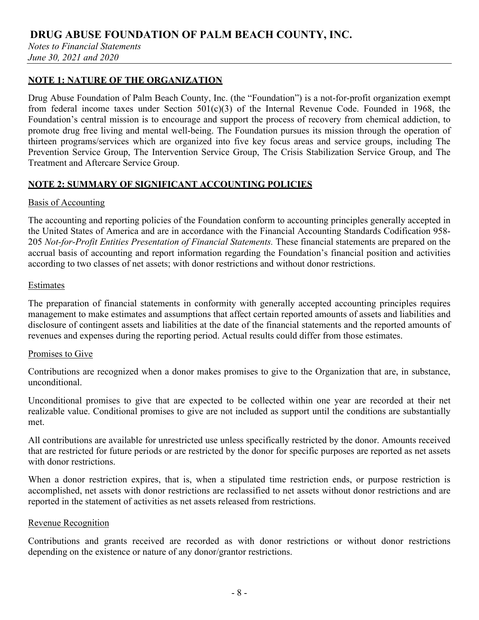*Notes to Financial Statements June 30, 2021 and 2020* 

## **NOTE 1: NATURE OF THE ORGANIZATION**

Drug Abuse Foundation of Palm Beach County, Inc. (the "Foundation") is a not-for-profit organization exempt from federal income taxes under Section 501(c)(3) of the Internal Revenue Code. Founded in 1968, the Foundation's central mission is to encourage and support the process of recovery from chemical addiction, to promote drug free living and mental well-being. The Foundation pursues its mission through the operation of thirteen programs/services which are organized into five key focus areas and service groups, including The Prevention Service Group, The Intervention Service Group, The Crisis Stabilization Service Group, and The Treatment and Aftercare Service Group.

## **NOTE 2: SUMMARY OF SIGNIFICANT ACCOUNTING POLICIES**

## Basis of Accounting

The accounting and reporting policies of the Foundation conform to accounting principles generally accepted in the United States of America and are in accordance with the Financial Accounting Standards Codification 958- 205 *Not-for-Profit Entities Presentation of Financial Statements.* These financial statements are prepared on the accrual basis of accounting and report information regarding the Foundation's financial position and activities according to two classes of net assets; with donor restrictions and without donor restrictions.

### Estimates

The preparation of financial statements in conformity with generally accepted accounting principles requires management to make estimates and assumptions that affect certain reported amounts of assets and liabilities and disclosure of contingent assets and liabilities at the date of the financial statements and the reported amounts of revenues and expenses during the reporting period. Actual results could differ from those estimates.

### Promises to Give

Contributions are recognized when a donor makes promises to give to the Organization that are, in substance, unconditional.

Unconditional promises to give that are expected to be collected within one year are recorded at their net realizable value. Conditional promises to give are not included as support until the conditions are substantially met.

All contributions are available for unrestricted use unless specifically restricted by the donor. Amounts received that are restricted for future periods or are restricted by the donor for specific purposes are reported as net assets with donor restrictions.

When a donor restriction expires, that is, when a stipulated time restriction ends, or purpose restriction is accomplished, net assets with donor restrictions are reclassified to net assets without donor restrictions and are reported in the statement of activities as net assets released from restrictions.

### Revenue Recognition

Contributions and grants received are recorded as with donor restrictions or without donor restrictions depending on the existence or nature of any donor/grantor restrictions.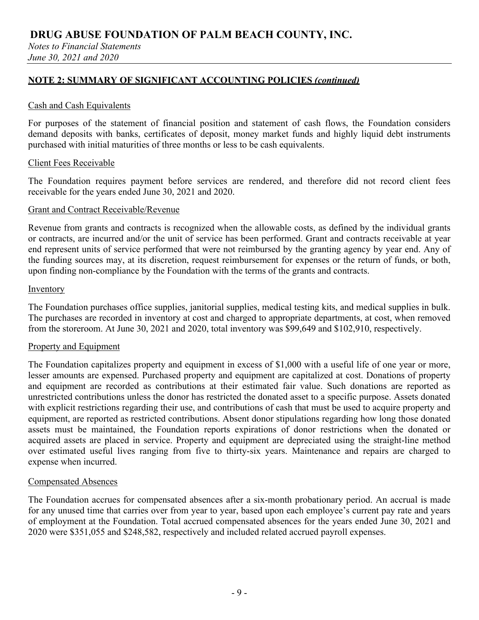*Notes to Financial Statements June 30, 2021 and 2020* 

## **NOTE 2: SUMMARY OF SIGNIFICANT ACCOUNTING POLICIES** *(continued)*

#### Cash and Cash Equivalents

For purposes of the statement of financial position and statement of cash flows, the Foundation considers demand deposits with banks, certificates of deposit, money market funds and highly liquid debt instruments purchased with initial maturities of three months or less to be cash equivalents.

#### Client Fees Receivable

The Foundation requires payment before services are rendered, and therefore did not record client fees receivable for the years ended June 30, 2021 and 2020.

#### Grant and Contract Receivable/Revenue

Revenue from grants and contracts is recognized when the allowable costs, as defined by the individual grants or contracts, are incurred and/or the unit of service has been performed. Grant and contracts receivable at year end represent units of service performed that were not reimbursed by the granting agency by year end. Any of the funding sources may, at its discretion, request reimbursement for expenses or the return of funds, or both, upon finding non-compliance by the Foundation with the terms of the grants and contracts.

#### Inventory

The Foundation purchases office supplies, janitorial supplies, medical testing kits, and medical supplies in bulk. The purchases are recorded in inventory at cost and charged to appropriate departments, at cost, when removed from the storeroom. At June 30, 2021 and 2020, total inventory was \$99,649 and \$102,910, respectively.

### Property and Equipment

The Foundation capitalizes property and equipment in excess of \$1,000 with a useful life of one year or more, lesser amounts are expensed. Purchased property and equipment are capitalized at cost. Donations of property and equipment are recorded as contributions at their estimated fair value. Such donations are reported as unrestricted contributions unless the donor has restricted the donated asset to a specific purpose. Assets donated with explicit restrictions regarding their use, and contributions of cash that must be used to acquire property and equipment, are reported as restricted contributions. Absent donor stipulations regarding how long those donated assets must be maintained, the Foundation reports expirations of donor restrictions when the donated or acquired assets are placed in service. Property and equipment are depreciated using the straight-line method over estimated useful lives ranging from five to thirty-six years. Maintenance and repairs are charged to expense when incurred.

#### Compensated Absences

The Foundation accrues for compensated absences after a six-month probationary period. An accrual is made for any unused time that carries over from year to year, based upon each employee's current pay rate and years of employment at the Foundation. Total accrued compensated absences for the years ended June 30, 2021 and 2020 were \$351,055 and \$248,582, respectively and included related accrued payroll expenses.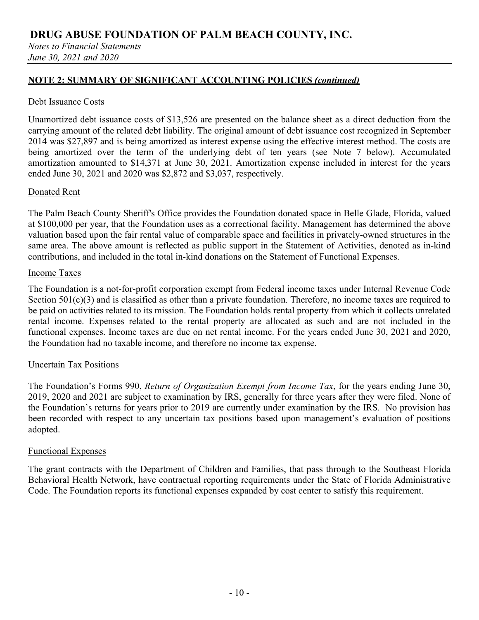*Notes to Financial Statements June 30, 2021 and 2020* 

## **NOTE 2: SUMMARY OF SIGNIFICANT ACCOUNTING POLICIES** *(continued)*

#### Debt Issuance Costs

Unamortized debt issuance costs of \$13,526 are presented on the balance sheet as a direct deduction from the carrying amount of the related debt liability. The original amount of debt issuance cost recognized in September 2014 was \$27,897 and is being amortized as interest expense using the effective interest method. The costs are being amortized over the term of the underlying debt of ten years (see Note 7 below). Accumulated amortization amounted to \$14,371 at June 30, 2021. Amortization expense included in interest for the years ended June 30, 2021 and 2020 was \$2,872 and \$3,037, respectively.

#### Donated Rent

The Palm Beach County Sheriff's Office provides the Foundation donated space in Belle Glade, Florida, valued at \$100,000 per year, that the Foundation uses as a correctional facility. Management has determined the above valuation based upon the fair rental value of comparable space and facilities in privately-owned structures in the same area. The above amount is reflected as public support in the Statement of Activities, denoted as in-kind contributions, and included in the total in-kind donations on the Statement of Functional Expenses.

#### Income Taxes

The Foundation is a not-for-profit corporation exempt from Federal income taxes under Internal Revenue Code Section 501(c)(3) and is classified as other than a private foundation. Therefore, no income taxes are required to be paid on activities related to its mission. The Foundation holds rental property from which it collects unrelated rental income. Expenses related to the rental property are allocated as such and are not included in the functional expenses. Income taxes are due on net rental income. For the years ended June 30, 2021 and 2020, the Foundation had no taxable income, and therefore no income tax expense.

### Uncertain Tax Positions

The Foundation's Forms 990, *Return of Organization Exempt from Income Tax*, for the years ending June 30, 2019, 2020 and 2021 are subject to examination by IRS, generally for three years after they were filed. None of the Foundation's returns for years prior to 2019 are currently under examination by the IRS. No provision has been recorded with respect to any uncertain tax positions based upon management's evaluation of positions adopted.

#### Functional Expenses

The grant contracts with the Department of Children and Families, that pass through to the Southeast Florida Behavioral Health Network, have contractual reporting requirements under the State of Florida Administrative Code. The Foundation reports its functional expenses expanded by cost center to satisfy this requirement.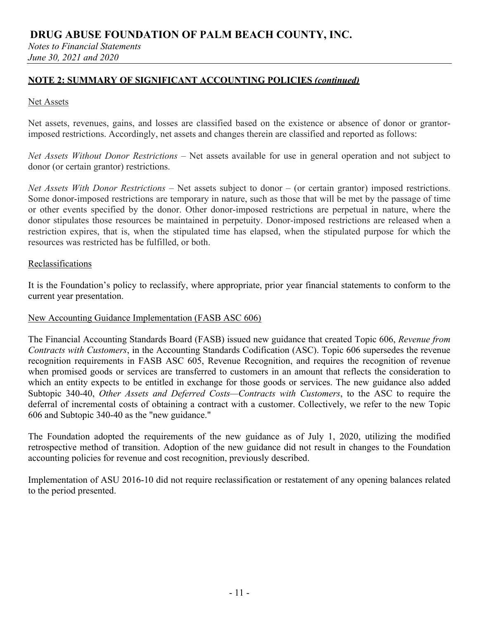*Notes to Financial Statements June 30, 2021 and 2020* 

## **NOTE 2: SUMMARY OF SIGNIFICANT ACCOUNTING POLICIES** *(continued)*

#### Net Assets

Net assets, revenues, gains, and losses are classified based on the existence or absence of donor or grantorimposed restrictions. Accordingly, net assets and changes therein are classified and reported as follows:

*Net Assets Without Donor Restrictions* – Net assets available for use in general operation and not subject to donor (or certain grantor) restrictions.

*Net Assets With Donor Restrictions* – Net assets subject to donor – (or certain grantor) imposed restrictions. Some donor-imposed restrictions are temporary in nature, such as those that will be met by the passage of time or other events specified by the donor. Other donor-imposed restrictions are perpetual in nature, where the donor stipulates those resources be maintained in perpetuity. Donor-imposed restrictions are released when a restriction expires, that is, when the stipulated time has elapsed, when the stipulated purpose for which the resources was restricted has be fulfilled, or both.

#### Reclassifications

It is the Foundation's policy to reclassify, where appropriate, prior year financial statements to conform to the current year presentation.

#### New Accounting Guidance Implementation (FASB ASC 606)

The Financial Accounting Standards Board (FASB) issued new guidance that created Topic 606, *Revenue from Contracts with Customers*, in the Accounting Standards Codification (ASC). Topic 606 supersedes the revenue recognition requirements in FASB ASC 605, Revenue Recognition, and requires the recognition of revenue when promised goods or services are transferred to customers in an amount that reflects the consideration to which an entity expects to be entitled in exchange for those goods or services. The new guidance also added Subtopic 340-40, *Other Assets and Deferred Costs—Contracts with Customers*, to the ASC to require the deferral of incremental costs of obtaining a contract with a customer. Collectively, we refer to the new Topic 606 and Subtopic 340-40 as the "new guidance."

The Foundation adopted the requirements of the new guidance as of July 1, 2020, utilizing the modified retrospective method of transition. Adoption of the new guidance did not result in changes to the Foundation accounting policies for revenue and cost recognition, previously described.

Implementation of ASU 2016-10 did not require reclassification or restatement of any opening balances related to the period presented.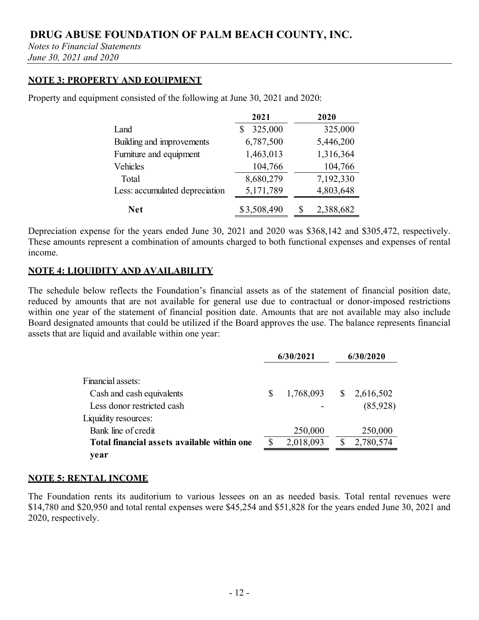*Notes to Financial Statements June 30, 2021 and 2020* 

## **NOTE 3: PROPERTY AND EQUIPMENT**

Property and equipment consisted of the following at June 30, 2021 and 2020:

|                                | 2021         | 2020                  |
|--------------------------------|--------------|-----------------------|
| Land                           | 325,000<br>S | 325,000               |
| Building and improvements      | 6,787,500    | 5,446,200             |
| Furniture and equipment        | 1,463,013    | 1,316,364             |
| Vehicles                       | 104,766      | 104,766               |
| Total                          | 8,680,279    | 7,192,330             |
| Less: accumulated depreciation | 5,171,789    | 4,803,648             |
| <b>Net</b>                     | \$3,508,490  | 2,388,682<br><b>S</b> |

Depreciation expense for the years ended June 30, 2021 and 2020 was \$368,142 and \$305,472, respectively. These amounts represent a combination of amounts charged to both functional expenses and expenses of rental income.

## **NOTE 4: LIQUIDITY AND AVAILABILITY**

The schedule below reflects the Foundation's financial assets as of the statement of financial position date, reduced by amounts that are not available for general use due to contractual or donor-imposed restrictions within one year of the statement of financial position date. Amounts that are not available may also include Board designated amounts that could be utilized if the Board approves the use. The balance represents financial assets that are liquid and available within one year:

|                                             |          | 6/30/2021 | 6/30/2020    |           |  |  |
|---------------------------------------------|----------|-----------|--------------|-----------|--|--|
| Financial assets:                           |          |           |              |           |  |  |
| Cash and cash equivalents                   | \$       | 1,768,093 | $\mathbb{S}$ | 2,616,502 |  |  |
| Less donor restricted cash                  |          |           |              | (85,928)  |  |  |
| Liquidity resources:                        |          |           |              |           |  |  |
| Bank line of credit                         |          | 250,000   |              | 250,000   |  |  |
| Total financial assets available within one | <b>S</b> | 2,018,093 |              | 2,780,574 |  |  |
| year                                        |          |           |              |           |  |  |

#### **NOTE 5: RENTAL INCOME**

The Foundation rents its auditorium to various lessees on an as needed basis. Total rental revenues were \$14,780 and \$20,950 and total rental expenses were \$45,254 and \$51,828 for the years ended June 30, 2021 and 2020, respectively.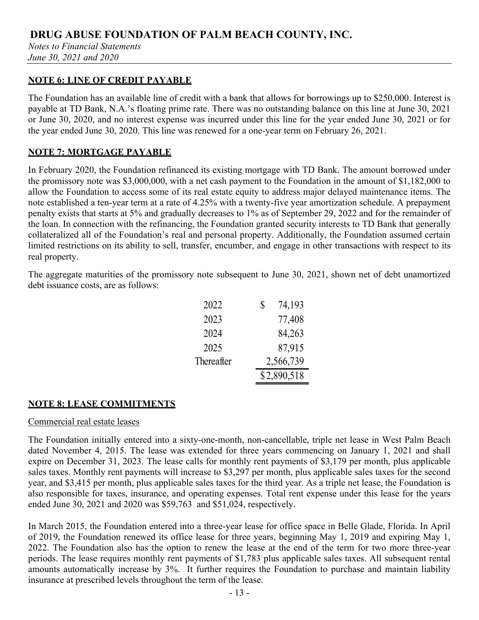*Notes to Financial Statements June 30, 2021 and 2020* 

## **NOTE 6: LINE OF CREDIT PAYABLE**

The Foundation has an available line of credit with a bank that allows for borrowings up to \$250,000. Interest is payable at TD Bank, N.A.'s floating prime rate. There was no outstanding balance on this line at June 30, 2021 or June 30, 2020, and no interest expense was incurred under this line for the year ended June 30, 2021 or for the year ended June 30, 2020. This line was renewed for a one-year term on February 26, 2021.

## **NOTE 7: MORTGAGE PAYABLE**

In February 2020, the Foundation refinanced its existing mortgage with TD Bank. The amount borrowed under the promissory note was \$3,000,000, with a net cash payment to the Foundation in the amount of \$1,182,000 to allow the Foundation to access some of its real estate equity to address major delayed maintenance items. The note established a ten-year term at a rate of 4.25% with a twenty-five year amortization schedule. A prepayment penalty exists that starts at 5% and gradually decreases to 1% as of September 29, 2022 and for the remainder of the loan. In connection with the refinancing, the Foundation granted security interests to TD Bank that generally collateralized all of the Foundation's real and personal property. Additionally, the Foundation assumed certain limited restrictions on its ability to sell, transfer, encumber, and engage in other transactions with respect to its real property.

The aggregate maturities of the promissory note subsequent to June 30, 2021, shown net of debt unamortized debt issuance costs, are as follows:

| 2022       | \$<br>74,193 |  |
|------------|--------------|--|
| 2023       | 77,408       |  |
| 2024       | 84,263       |  |
| 2025       | 87,915       |  |
| Thereafter | 2,566,739    |  |
|            | \$2,890,518  |  |

## **NOTE 8: LEASE COMMITMENTS**

#### Commercial real estate leases

The Foundation initially entered into a sixty-one-month, non-cancellable, triple net lease in West Palm Beach dated November 4, 2015. The lease was extended for three years commencing on January 1, 2021 and shall expire on December 31, 2023. The lease calls for monthly rent payments of \$3,179 per month, plus applicable sales taxes. Monthly rent payments will increase to \$3,297 per month, plus applicable sales taxes for the second year, and \$3,415 per month, plus applicable sales taxes for the third year. As a triple net lease, the Foundation is also responsible for taxes, insurance, and operating expenses. Total rent expense under this lease for the years ended June 30, 2021 and 2020 was \$59,763 and \$51,024, respectively.

In March 2015, the Foundation entered into a three-year lease for office space in Belle Glade, Florida. In April of 2019, the Foundation renewed its office lease for three years, beginning May 1, 2019 and expiring May 1, 2022. The Foundation also has the option to renew the lease at the end of the term for two more three-year periods. The lease requires monthly rent payments of \$1,783 plus applicable sales taxes. All subsequent rental amounts automatically increase by 3%. It further requires the Foundation to purchase and maintain liability insurance at prescribed levels throughout the term of the lease.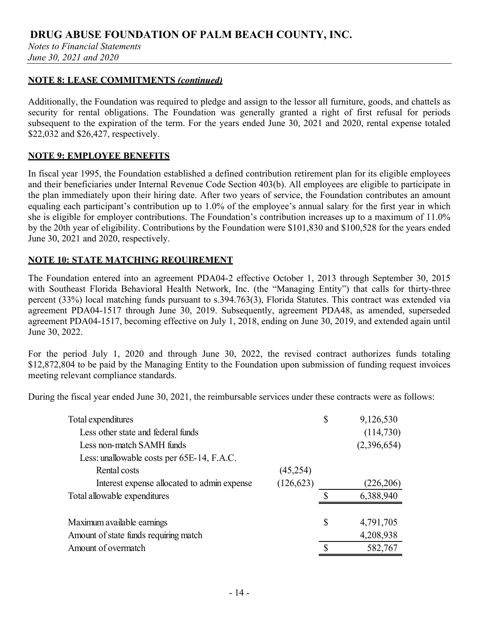*Notes to Financial Statements June 30, 2021 and 2020* 

## **NOTE 8: LEASE COMMITMENTS** *(continued)*

Additionally, the Foundation was required to pledge and assign to the lessor all furniture, goods, and chattels as security for rental obligations. The Foundation was generally granted a right of first refusal for periods subsequent to the expiration of the term. For the years ended June 30, 2021 and 2020, rental expense totaled \$22,032 and \$26,427, respectively.

### **NOTE 9: EMPLOYEE BENEFITS**

In fiscal year 1995, the Foundation established a defined contribution retirement plan for its eligible employees and their beneficiaries under Internal Revenue Code Section 403(b). All employees are eligible to participate in the plan immediately upon their hiring date. After two years of service, the Foundation contributes an amount equaling each participant's contribution up to 1.0% of the employee's annual salary for the first year in which she is eligible for employer contributions. The Foundation's contribution increases up to a maximum of 11.0% by the 20th year of eligibility. Contributions by the Foundation were \$101,830 and \$100,528 for the years ended June 30, 2021 and 2020, respectively.

## **NOTE 10: STATE MATCHING REQUIREMENT**

The Foundation entered into an agreement PDA04-2 effective October 1, 2013 through September 30, 2015 with Southeast Florida Behavioral Health Network, Inc. (the "Managing Entity") that calls for thirty-three percent (33%) local matching funds pursuant to s.394.763(3), Florida Statutes. This contract was extended via agreement PDA04-1517 through June 30, 2019. Subsequently, agreement PDA48, as amended, superseded agreement PDA04-1517, becoming effective on July 1, 2018, ending on June 30, 2019, and extended again until June 30, 2022.

For the period July 1, 2020 and through June 30, 2022, the revised contract authorizes funds totaling \$12,872,804 to be paid by the Managing Entity to the Foundation upon submission of funding request invoices meeting relevant compliance standards.

During the fiscal year ended June 30, 2021, the reimbursable services under these contracts were as follows:

| Total expenditures                          |            | \$ | 9,126,530   |
|---------------------------------------------|------------|----|-------------|
| Less other state and federal funds          |            |    | (114,730)   |
| Less non-match SAMH funds                   |            |    | (2,396,654) |
| Less: unallowable costs per 65E-14, F.A.C.  |            |    |             |
| Rental costs                                | (45,254)   |    |             |
| Interest expense allocated to admin expense | (126, 623) |    | (226, 206)  |
| Total allowable expenditures                |            |    | 6,388,940   |
| Maximum available earnings                  |            | \$ | 4,791,705   |
| Amount of state funds requiring match       |            |    | 4,208,938   |
| Amount of overmatch                         |            | S  | 582,767     |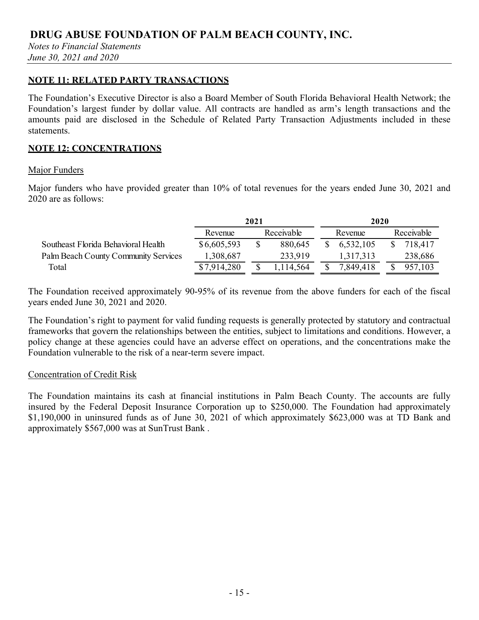*Notes to Financial Statements June 30, 2021 and 2020* 

### **NOTE 11: RELATED PARTY TRANSACTIONS**

The Foundation's Executive Director is also a Board Member of South Florida Behavioral Health Network; the Foundation's largest funder by dollar value. All contracts are handled as arm's length transactions and the amounts paid are disclosed in the Schedule of Related Party Transaction Adjustments included in these statements.

### **NOTE 12: CONCENTRATIONS**

### Major Funders

Major funders who have provided greater than 10% of total revenues for the years ended June 30, 2021 and 2020 are as follows:

|                                      |             | 2021 |            | 2020      |            |
|--------------------------------------|-------------|------|------------|-----------|------------|
|                                      | Revenue     |      | Receivable | Revenue   | Receivable |
| Southeast Florida Behavioral Health  | \$6,605,593 |      | 880,645    | 6,532,105 | 718,417    |
| Palm Beach County Community Services | 1,308,687   |      | 233,919    | 1,317,313 | 238,686    |
| Total                                | \$7,914,280 |      | 1,114,564  | 7,849,418 | 957,103    |

The Foundation received approximately 90-95% of its revenue from the above funders for each of the fiscal years ended June 30, 2021 and 2020.

The Foundation's right to payment for valid funding requests is generally protected by statutory and contractual frameworks that govern the relationships between the entities, subject to limitations and conditions. However, a policy change at these agencies could have an adverse effect on operations, and the concentrations make the Foundation vulnerable to the risk of a near-term severe impact.

#### Concentration of Credit Risk

The Foundation maintains its cash at financial institutions in Palm Beach County. The accounts are fully insured by the Federal Deposit Insurance Corporation up to \$250,000. The Foundation had approximately \$1,190,000 in uninsured funds as of June 30, 2021 of which approximately \$623,000 was at TD Bank and approximately \$567,000 was at SunTrust Bank .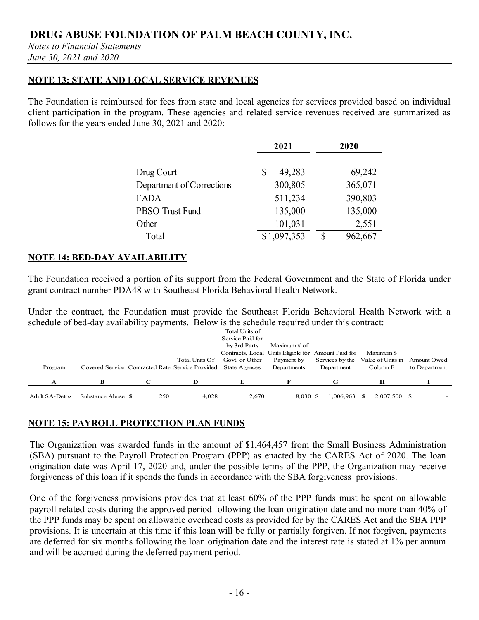*Notes to Financial Statements June 30, 2021 and 2020* 

## **NOTE 13: STATE AND LOCAL SERVICE REVENUES**

The Foundation is reimbursed for fees from state and local agencies for services provided based on individual client participation in the program. These agencies and related service revenues received are summarized as follows for the years ended June 30, 2021 and 2020:

|                           | 2021        | 2020    |
|---------------------------|-------------|---------|
|                           |             |         |
| Drug Court                | 49,283      | 69,242  |
| Department of Corrections | 300,805     | 365,071 |
| FADA                      | 511,234     | 390,803 |
| PBSO Trust Fund           | 135,000     | 135,000 |
| Other                     | 101,031     | 2,551   |
| Total                     | \$1,097,353 | 962,667 |

## **NOTE 14: BED-DAY AVAILABILITY**

The Foundation received a portion of its support from the Federal Government and the State of Florida under grant contract number PDA48 with Southeast Florida Behavioral Health Network.

Under the contract, the Foundation must provide the Southeast Florida Behavioral Health Network with a schedule of bed-day availability payments. Below is the schedule required under this contract:

|                       |                                                                |     |                | Total Units of   |                                                     |                 |                   |               |
|-----------------------|----------------------------------------------------------------|-----|----------------|------------------|-----------------------------------------------------|-----------------|-------------------|---------------|
|                       |                                                                |     |                | Service Paid for |                                                     |                 |                   |               |
|                       |                                                                |     |                | by 3rd Party     | Maximum $\#$ of                                     |                 |                   |               |
|                       |                                                                |     |                |                  | Contracts, Local Units Eligible for Amount Paid for |                 | Maximum \$        |               |
|                       |                                                                |     | Total Units Of | Govt. or Other   | Payment by                                          | Services by the | Value of Units in | Amount Owed   |
| Program               | Covered Service Contracted Rate Service Provided State Agences |     |                |                  | Departments                                         | Department      | Column F          | to Department |
|                       |                                                                |     |                |                  |                                                     |                 |                   |               |
|                       | R                                                              |     | D              |                  |                                                     | G               | H                 |               |
|                       |                                                                |     |                |                  |                                                     |                 |                   |               |
| <b>Adult SA-Detox</b> | Substance Abuse \$                                             | 250 | 4.028          | 2.670            | 8.030 \$                                            | 1.006.963       | 2.007.500<br>S.   |               |

## **NOTE 15: PAYROLL PROTECTION PLAN FUNDS**

The Organization was awarded funds in the amount of \$1,464,457 from the Small Business Administration (SBA) pursuant to the Payroll Protection Program (PPP) as enacted by the CARES Act of 2020. The loan origination date was April 17, 2020 and, under the possible terms of the PPP, the Organization may receive forgiveness of this loan if it spends the funds in accordance with the SBA forgiveness provisions.

One of the forgiveness provisions provides that at least 60% of the PPP funds must be spent on allowable payroll related costs during the approved period following the loan origination date and no more than 40% of the PPP funds may be spent on allowable overhead costs as provided for by the CARES Act and the SBA PPP provisions. It is uncertain at this time if this loan will be fully or partially forgiven. If not forgiven, payments are deferred for six months following the loan origination date and the interest rate is stated at 1% per annum and will be accrued during the deferred payment period.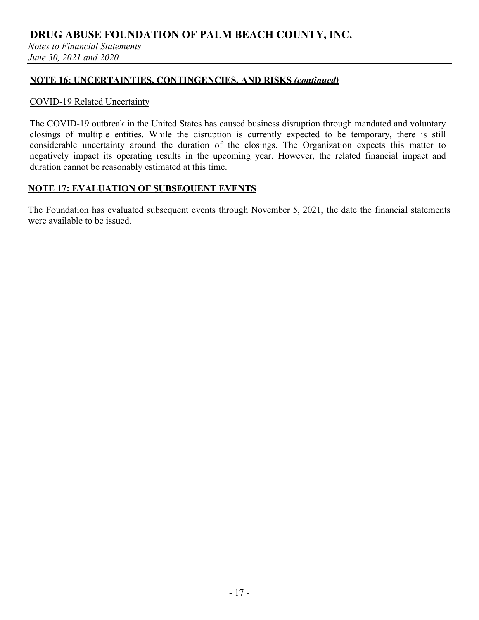*Notes to Financial Statements June 30, 2021 and 2020* 

#### **NOTE 16: UNCERTAINTIES, CONTINGENCIES, AND RISKS** *(continued)*

#### COVID-19 Related Uncertainty

The COVID-19 outbreak in the United States has caused business disruption through mandated and voluntary closings of multiple entities. While the disruption is currently expected to be temporary, there is still considerable uncertainty around the duration of the closings. The Organization expects this matter to negatively impact its operating results in the upcoming year. However, the related financial impact and duration cannot be reasonably estimated at this time.

#### **NOTE 17: EVALUATION OF SUBSEQUENT EVENTS**

The Foundation has evaluated subsequent events through November 5, 2021, the date the financial statements were available to be issued.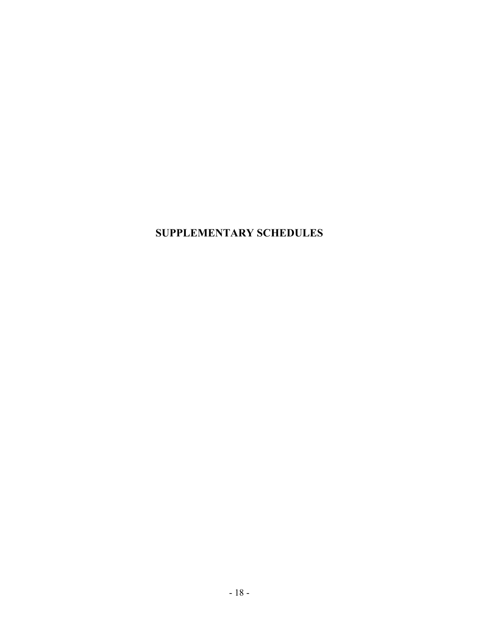# **SUPPLEMENTARY SCHEDULES**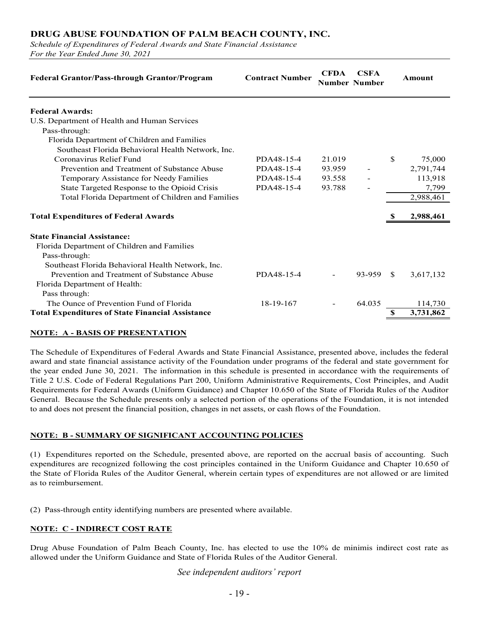*Schedule of Expenditures of Federal Awards and State Financial Assistance For the Year Ended June 30, 2021*

| <b>Federal Grantor/Pass-through Grantor/Program</b>     | <b>Contract Number</b> | <b>CFDA</b> | <b>CSFA</b><br><b>Number Number</b> |              | Amount    |
|---------------------------------------------------------|------------------------|-------------|-------------------------------------|--------------|-----------|
| <b>Federal Awards:</b>                                  |                        |             |                                     |              |           |
| U.S. Department of Health and Human Services            |                        |             |                                     |              |           |
| Pass-through:                                           |                        |             |                                     |              |           |
| Florida Department of Children and Families             |                        |             |                                     |              |           |
| Southeast Florida Behavioral Health Network, Inc.       |                        |             |                                     |              |           |
| Coronavirus Relief Fund                                 | PDA48-15-4             | 21.019      |                                     | \$           | 75,000    |
| Prevention and Treatment of Substance Abuse             | PDA48-15-4             | 93.959      | $\overline{\phantom{a}}$            |              | 2,791,744 |
| Temporary Assistance for Needy Families                 | PDA48-15-4             | 93.558      | $\overline{\phantom{a}}$            |              | 113,918   |
| State Targeted Response to the Opioid Crisis            | PDA48-15-4             | 93.788      |                                     |              | 7,799     |
| Total Florida Department of Children and Families       |                        |             |                                     |              | 2,988,461 |
| <b>Total Expenditures of Federal Awards</b>             |                        |             |                                     | S            | 2,988,461 |
| <b>State Financial Assistance:</b>                      |                        |             |                                     |              |           |
| Florida Department of Children and Families             |                        |             |                                     |              |           |
| Pass-through:                                           |                        |             |                                     |              |           |
| Southeast Florida Behavioral Health Network, Inc.       |                        |             |                                     |              |           |
| Prevention and Treatment of Substance Abuse             | PDA48-15-4             |             | 93-959                              | <sup>S</sup> | 3,617,132 |
| Florida Department of Health:                           |                        |             |                                     |              |           |
| Pass through:                                           |                        |             |                                     |              |           |
| The Ounce of Prevention Fund of Florida                 | 18-19-167              |             | 64.035                              |              | 114,730   |
| <b>Total Expenditures of State Financial Assistance</b> |                        |             |                                     | \$           | 3,731,862 |

#### **NOTE: A - BASIS OF PRESENTATION**

The Schedule of Expenditures of Federal Awards and State Financial Assistance, presented above, includes the federal award and state financial assistance activity of the Foundation under programs of the federal and state government for the year ended June 30, 2021. The information in this schedule is presented in accordance with the requirements of Title 2 U.S. Code of Federal Regulations Part 200, Uniform Administrative Requirements, Cost Principles, and Audit Requirements for Federal Awards (Uniform Guidance) and Chapter 10.650 of the State of Florida Rules of the Auditor General. Because the Schedule presents only a selected portion of the operations of the Foundation, it is not intended to and does not present the financial position, changes in net assets, or cash flows of the Foundation.

#### **NOTE: B - SUMMARY OF SIGNIFICANT ACCOUNTING POLICIES**

(1) Expenditures reported on the Schedule, presented above, are reported on the accrual basis of accounting. Such expenditures are recognized following the cost principles contained in the Uniform Guidance and Chapter 10.650 of the State of Florida Rules of the Auditor General, wherein certain types of expenditures are not allowed or are limited as to reimbursement.

(2) Pass-through entity identifying numbers are presented where available.

#### **NOTE: C - INDIRECT COST RATE**

Drug Abuse Foundation of Palm Beach County, Inc. has elected to use the 10% de minimis indirect cost rate as allowed under the Uniform Guidance and State of Florida Rules of the Auditor General.

*See independent auditors' report*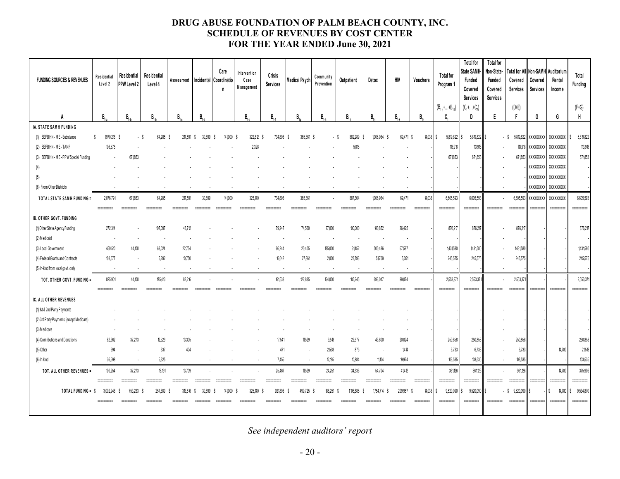### **DRUG ABUSE FOUNDATION OF PALM BEACH COUNTY, INC. SCHEDULE OF REVENUES BY COST CENTER FOR THE YEAR ENDED June 30, 2021**

| <b>FUNDING SOURCES &amp; REVENUES</b>       | Residential<br>Level 2  | Residential<br>PPW Level 2 | Residential<br>Level 4 | Assessment |           | Care<br>Incidental   Coordinatio<br>n | Intervention<br>Case<br><b>Management</b> | Crisis<br><b>Services</b> | <b>Medical Psych</b>  | Community<br>Prevention  | Outpatient       | Detox                 | HIV             | Vouchers   | <b>Total for</b><br>Program 1<br>$(B_{1a} +  + B_{11})$ | <b>Total for</b><br>State SAMH-<br><b>Funded</b><br>Covered<br><b>Services</b><br>$(C_1 +  + C_n)$ | <b>Total for</b><br>Non-State-<br>Funded<br>Covered<br><b>Services</b> | Covered<br><b>Services</b><br>$(D+E)$ | Covered<br>Services | Total for All Non-SAMH Auditorium<br>Rental<br>Income | Total<br><b>Funding</b><br>$(F+G)$   |
|---------------------------------------------|-------------------------|----------------------------|------------------------|------------|-----------|---------------------------------------|-------------------------------------------|---------------------------|-----------------------|--------------------------|------------------|-----------------------|-----------------|------------|---------------------------------------------------------|----------------------------------------------------------------------------------------------------|------------------------------------------------------------------------|---------------------------------------|---------------------|-------------------------------------------------------|--------------------------------------|
|                                             | B.,                     | В.,                        | В.                     |            | В.,       |                                       | В.,                                       | $B_{ij}$                  | B                     | В.,                      | В.,              |                       | В.,             | В.,        | C,                                                      | D                                                                                                  | E.                                                                     |                                       | G                   | G                                                     | Н                                    |
| IA, STATE SAMH FUNDING                      |                         |                            |                        |            |           |                                       |                                           |                           |                       |                          |                  |                       |                 |            |                                                         |                                                                                                    |                                                                        |                                       |                     |                                                       |                                      |
| (1) SEFBHN - ME - Substance                 | 1970,216 \$<br>Ŝ        |                            | 64,285 \$<br>- \$      | 217,591 \$ | 30,899 \$ | 141,000 \$                            | 322,812 \$                                | 734.896                   | 365,361 \$<br>s       | - \$                     | 882.289          | 1006.964 \$<br>S      | 69,471 \$       | 14,038 S   | 5,819,822                                               | 5,819,822                                                                                          |                                                                        | - \$                                  | 5.819.822 XXXXXXXXX | XXXXXXXX                                              | 5,819,822                            |
| (2) SEFBHN-ME-TANF                          | 106,575                 |                            |                        |            |           |                                       | 2,328                                     |                           |                       |                          | 5,015            |                       |                 |            | 113,918                                                 | 113,918                                                                                            |                                                                        |                                       | 113,918 XXXXXXXX    | XXXXXXXX                                              | 113,91B                              |
| (3) SEFBHN - ME - PPW Special Funding       |                         | 671853                     |                        |            |           |                                       |                                           |                           |                       |                          |                  |                       |                 |            | 671853                                                  | 671853                                                                                             |                                                                        |                                       | 671853 XXXXXXXX     | XXXXXXXX                                              | 671853                               |
| (4)                                         |                         |                            |                        |            |           |                                       |                                           |                           |                       |                          |                  |                       |                 |            |                                                         |                                                                                                    |                                                                        |                                       | XXXXXXXX            | XXXXXXXX                                              |                                      |
| (5)                                         |                         |                            |                        |            |           |                                       |                                           |                           |                       |                          |                  |                       |                 |            |                                                         |                                                                                                    |                                                                        |                                       | XXXXXXXX            | XXXXXXXX                                              |                                      |
| (6) From Other Districts                    |                         |                            |                        |            |           |                                       |                                           |                           |                       |                          |                  |                       |                 |            |                                                         |                                                                                                    |                                                                        |                                       | XXXXXXXX            | XXXXXXXXX                                             |                                      |
| TOTAL STATE SAMH FUNDING =                  | 2,076,791               | 671853                     | 64,285                 | 217,591    | 30,899    | 141,000                               | 325,140                                   | 734.896                   | 365,361               |                          | 887.304          | 1006,964              | 69,471          | 14.038     | 6.605.593                                               | 6,605,593                                                                                          |                                                                        | 6.605.593                             | XXXXXXXXX           | XXXXXXXX                                              | 6,605,593                            |
|                                             | ==========              | ==========                 |                        |            |           | ======                                |                                           | ==========                | ==========            |                          |                  | ==========            | ---------       | ========== | ===========                                             | =========                                                                                          | ==========                                                             | =========                             | ========            | ==========                                            | ==========                           |
| <b>IB. OTHER GOVT. FUNDING</b>              |                         |                            |                        |            |           |                                       |                                           |                           |                       |                          |                  |                       |                 |            |                                                         |                                                                                                    |                                                                        |                                       |                     |                                                       |                                      |
| (1) Other State Agency Funding              | 272,314                 |                            | 107,097                | 48.712     |           |                                       |                                           | 79,247                    | 74,569                | 27,000                   | 100,000          | 140,852               | 26,425          |            | 876,217                                                 | 876,217                                                                                            |                                                                        | 876,217                               |                     |                                                       | 876,217                              |
| (2) Medicaid                                |                         | $\cdot$                    |                        |            |           |                                       |                                           |                           |                       | $\overline{\phantom{a}}$ |                  |                       |                 |            |                                                         |                                                                                                    |                                                                        |                                       |                     |                                                       |                                      |
| (3) Local Government                        | 450,510                 | 44,108                     | 63,024                 | 22.754     |           |                                       |                                           | 66,244                    | 20,405                | 135,000                  | 61452            | 500,486               | 67,597          |            | 1431580                                                 | 1431580                                                                                            |                                                                        | 1,431,580                             |                     |                                                       | 1431,580                             |
| (4) Federal Grants and Contracts            | 103,077                 | $\cdot$                    | 5,292                  | 10,750     |           |                                       |                                           | 16,042                    | 27,861                | 2,000                    | 23,793           | 51709                 | 5,051           |            | 245,575                                                 | 245,575                                                                                            |                                                                        | 245,575                               |                     |                                                       | 245,575                              |
| (5) In-kind from local govt. only           |                         | $\overline{\phantom{a}}$   |                        |            |           |                                       |                                           |                           | $\cdot$               | $\cdot$                  |                  |                       | $\cdot$         |            |                                                         |                                                                                                    |                                                                        |                                       |                     |                                                       |                                      |
| TOT. OTHER GOVT. FUNDING =                  | 825,901                 | 44,108                     | 175,413                | 82,216     |           |                                       |                                           | 161,533                   | 122,835               | 164,000                  | 185,245          | 693,047               | 99,074          |            | 2,553,37                                                | 2,553,37                                                                                           |                                                                        | 2,553,37                              |                     |                                                       | 2,553,371                            |
|                                             |                         |                            |                        |            |           |                                       |                                           |                           |                       |                          |                  |                       |                 |            | ==========                                              | ==========                                                                                         | <b>COD</b><br>$=$                                                      | 10                                    |                     | 22222                                                 | ==========                           |
| IC. ALL OTHER REVENUES                      |                         |                            |                        |            |           |                                       |                                           |                           |                       |                          |                  |                       |                 |            |                                                         |                                                                                                    |                                                                        |                                       |                     |                                                       |                                      |
| (1) 1st & 2nd Party Payments                |                         |                            |                        |            |           |                                       |                                           |                           |                       |                          |                  |                       |                 |            |                                                         |                                                                                                    |                                                                        |                                       |                     |                                                       |                                      |
| (2) 3rd P arty P ayments (except M edicare) |                         |                            |                        |            |           |                                       |                                           |                           |                       |                          |                  |                       |                 |            |                                                         |                                                                                                    |                                                                        |                                       |                     |                                                       |                                      |
| (3) Medicare                                |                         |                            |                        |            |           |                                       |                                           |                           |                       |                          |                  |                       |                 |            |                                                         |                                                                                                    |                                                                        |                                       |                     |                                                       |                                      |
| (4) Contributions and Donations             | 62,962                  | 37,273                     | 12,529                 | 13.305     |           |                                       |                                           | 17.541                    | 11,529                | 9,518                    | 22,577           | 43,600                | 20,024          |            | 250,858                                                 | 250,858                                                                                            |                                                                        | 250,858                               |                     |                                                       | 250,858                              |
| (5) Other                                   | 694                     | $\cdot$                    | 337                    | 404        |           |                                       |                                           | 471                       |                       | 2,538                    | 875              |                       | 1,414           |            | 6,733                                                   | 6,733                                                                                              |                                                                        | 6,733                                 |                     | 14.780                                                | 21,513                               |
| (6) In-kind                                 | 36,598                  | $\cdot$                    | 5.325                  |            |           |                                       |                                           | 7.455                     |                       | 12.195                   | 10,884           | 11.104                | 19.974          |            | 103.535                                                 | 103,535                                                                                            |                                                                        | 103.535                               |                     |                                                       | 103,535                              |
| TOT. ALL OTHER REVENUES =                   | 100.254                 | 37,273                     | 18.191                 | 13.709     |           |                                       |                                           | 25.467                    | 11,529                | 24,251                   | 34,336           | 54,704                | 41412           |            | 361126                                                  | 361126                                                                                             |                                                                        | 361126                                |                     | 14.780                                                | 375,906                              |
| TOTAL FUNDING = \$                          | ==========<br>3.002.946 | ====<br>753.233            | 257.889                | 313.516    | 30.899    |                                       |                                           |                           | ==========<br>499.725 | $=$<br>188.251           | =====<br>106.885 | ==========<br>1754.71 | ====<br>209.957 | 14.038     | =========<br>9,520,090<br>Ι¢<br>=========               | ==========<br>9,520,090<br>=========                                                               | ==========                                                             | ==========<br>$-$ \$ 9,520,090 \$     | =========           | ===========<br>14,780<br><b>====</b>                  | =========<br>9,534,870<br>========== |

*See independent auditors' report*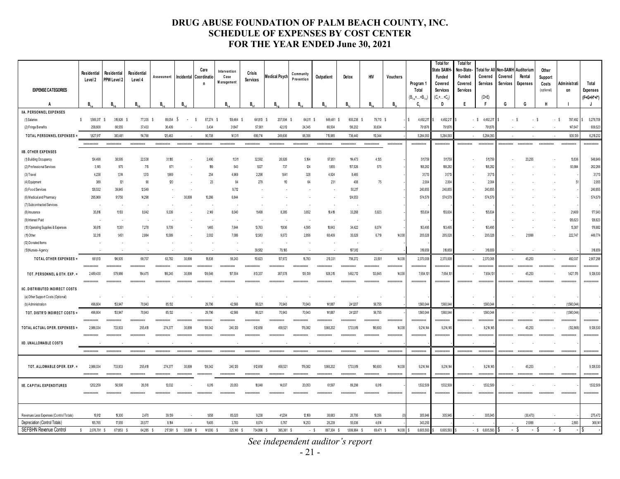### **DRUG ABUSE FOUNDATION OF PALM BEACH COUNTY, INC. SCHEDULE OF EXPENSES BY COST CENTER FOR THE YEAR ENDED June 30, 2021**

| <b>EXPENSE CATEGORIES</b>               | Residential<br>Level 2 | Residential<br>PPW Level 2 | Residential<br>Level 4 | Assessment     |             | Care<br>Incidental Coordinatio<br>n                                                                                                                                                                                                                                                                                                                                                                                                                                                           | Intervention<br>Case<br><b>Management</b> | Crisis<br>Services | Medical Psych | Community<br>Prevention | Outpatient               | Detox     | hiv                                                                                                                                                                                                                                                                                                                                                                                                                                                                                                     | Vouchers   | Program 1<br>Total                                                                                                                                                                                                                                                                                                                                                                                                                                                                                      | <b>Total for</b><br>State SAMI<br>Funded<br>Covered<br>Services | <b>Total for</b><br>Non-State<br>Funded<br>Covered<br>Services | <b>Total for All</b><br>Covered<br>Services | Covered<br>Services | Non-SAMH Auditorium<br>Rental<br>Expenses | Other<br><b>Support</b><br>Costs<br>(optional) | Administrat<br>on     | Total<br>Expenses |
|-----------------------------------------|------------------------|----------------------------|------------------------|----------------|-------------|-----------------------------------------------------------------------------------------------------------------------------------------------------------------------------------------------------------------------------------------------------------------------------------------------------------------------------------------------------------------------------------------------------------------------------------------------------------------------------------------------|-------------------------------------------|--------------------|---------------|-------------------------|--------------------------|-----------|---------------------------------------------------------------------------------------------------------------------------------------------------------------------------------------------------------------------------------------------------------------------------------------------------------------------------------------------------------------------------------------------------------------------------------------------------------------------------------------------------------|------------|---------------------------------------------------------------------------------------------------------------------------------------------------------------------------------------------------------------------------------------------------------------------------------------------------------------------------------------------------------------------------------------------------------------------------------------------------------------------------------------------------------|-----------------------------------------------------------------|----------------------------------------------------------------|---------------------------------------------|---------------------|-------------------------------------------|------------------------------------------------|-----------------------|-------------------|
|                                         | B.                     | В                          | B.                     | В.             | В.          |                                                                                                                                                                                                                                                                                                                                                                                                                                                                                               | В.                                        | В.,                | B.            | В.                      | В.                       | В.        | В.                                                                                                                                                                                                                                                                                                                                                                                                                                                                                                      | В,         | $(B_{1a} +  + B_{1k})$<br>C,                                                                                                                                                                                                                                                                                                                                                                                                                                                                            | $(C_1 +  + C_n)$<br>D                                           | E                                                              | $(D+E)$<br>.F                               | G                   | G                                         | н                                              |                       | (F+G+H*+I*)<br>J  |
| <b>IIA. PERSONNEL EXPENSES</b>          |                        |                            |                        |                |             |                                                                                                                                                                                                                                                                                                                                                                                                                                                                                               |                                           |                    |               |                         |                          |           |                                                                                                                                                                                                                                                                                                                                                                                                                                                                                                         |            |                                                                                                                                                                                                                                                                                                                                                                                                                                                                                                         |                                                                 |                                                                |                                             |                     |                                           |                                                |                       |                   |
| (1) Salaries                            | 1569,317<br>s.         | 316,926 \$                 | 77,335 \$              | 89,054         |             | <sub>S</sub><br>87,274                                                                                                                                                                                                                                                                                                                                                                                                                                                                        | 109,464 \$                                | 641813 \$          | 207,594       | 64,011                  | 649,481                  | 600238 \$ | 79,710 \$                                                                                                                                                                                                                                                                                                                                                                                                                                                                                               |            | 4,492,21                                                                                                                                                                                                                                                                                                                                                                                                                                                                                                | 4,492,217                                                       |                                                                | $-$ \$<br>4,492,21                          |                     | - 8                                       |                                                | $\cdot$ \$<br>787,492 | 5,279,709         |
| (2) Fringe Benefits                     | 258,600                | 66,555                     | 37,433                 | 36,409         |             | 3.434                                                                                                                                                                                                                                                                                                                                                                                                                                                                                         | 31847                                     | 57.901             | 42,012        | 24.345                  | 66,504                   | 136,202   | 30.634                                                                                                                                                                                                                                                                                                                                                                                                                                                                                                  |            | 79187                                                                                                                                                                                                                                                                                                                                                                                                                                                                                                   | 791,876                                                         |                                                                | 79187                                       |                     |                                           |                                                | 147.647               | 939,523           |
| TOTAL PERSONNEL EXPENSES =              | 1827,917               | 383,481                    | 114,768                | 125,463        | $\cdot$     | 90,708                                                                                                                                                                                                                                                                                                                                                                                                                                                                                        | 141311                                    | 699,714            | 249,606       | 88,356                  | 715,985                  | 736,440   | 110,344                                                                                                                                                                                                                                                                                                                                                                                                                                                                                                 |            | 5,284,09                                                                                                                                                                                                                                                                                                                                                                                                                                                                                                | 5,284,093                                                       |                                                                | 5,284,09                                    |                     |                                           | $\blacksquare$                                 | 935,139               | 6,219,232         |
|                                         | ==========             | =========                  | =========              | ==========     | ----------- | ========                                                                                                                                                                                                                                                                                                                                                                                                                                                                                      | ==========                                | =========          | -----------   | =========               | ==========               | ========= | ==========                                                                                                                                                                                                                                                                                                                                                                                                                                                                                              | ========== | =========                                                                                                                                                                                                                                                                                                                                                                                                                                                                                               | ==========                                                      | ==========                                                     | -----------                                 | ----------          | ==========                                | ==========                                     | -----------           | ========          |
| <b>IIB. OTHER EXPENSES</b>              |                        |                            |                        |                |             |                                                                                                                                                                                                                                                                                                                                                                                                                                                                                               |                                           |                    |               |                         |                          |           |                                                                                                                                                                                                                                                                                                                                                                                                                                                                                                         |            |                                                                                                                                                                                                                                                                                                                                                                                                                                                                                                         |                                                                 |                                                                |                                             |                     |                                           |                                                |                       |                   |
| (1) Building Occupancy                  | 124,499                | 38,595                     | 22,538                 | 31185          |             | 2,490                                                                                                                                                                                                                                                                                                                                                                                                                                                                                         | 11,311                                    | 32,592             | 26,926        | 5.164                   | 97,851                   | 114,473   | 4,135                                                                                                                                                                                                                                                                                                                                                                                                                                                                                                   |            | 511,759                                                                                                                                                                                                                                                                                                                                                                                                                                                                                                 | 511,759                                                         |                                                                | 511,759                                     |                     | 23,255                                    |                                                | 13,836                | 548,849           |
| (2) Professional Services               | 3,145                  | 975                        | 715                    | 871            |             | 189                                                                                                                                                                                                                                                                                                                                                                                                                                                                                           | 543                                       | 1027               | 737           | $\mathcal{D}4$          | 1,855                    | 157,526   | 575                                                                                                                                                                                                                                                                                                                                                                                                                                                                                                     |            | 168,282                                                                                                                                                                                                                                                                                                                                                                                                                                                                                                 | 168,282                                                         |                                                                | 168,282                                     |                     |                                           |                                                | 93,984                | 262,266           |
| (3) Travel                              | 4,238                  | 1314                       | 1313                   | 1969           |             | 254                                                                                                                                                                                                                                                                                                                                                                                                                                                                                           | 4,969                                     | 2,298              | 1,641         | 328                     | 4,924                    | 8,465     |                                                                                                                                                                                                                                                                                                                                                                                                                                                                                                         |            | 31,713                                                                                                                                                                                                                                                                                                                                                                                                                                                                                                  | 31,713                                                          |                                                                | 31,71                                       |                     |                                           |                                                |                       | 31,713            |
| (4) Equipment                           | 389                    | 121                        | $90\,$                 | v <sub>0</sub> |             | 23                                                                                                                                                                                                                                                                                                                                                                                                                                                                                            | 94                                        | 279                | 110           | 64                      | 231                      | 408       | 75                                                                                                                                                                                                                                                                                                                                                                                                                                                                                                      |            | 2,004                                                                                                                                                                                                                                                                                                                                                                                                                                                                                                   | 2,004                                                           |                                                                | 2,004                                       |                     |                                           |                                                | 51                    | 2,055             |
| (5) Food Services                       | 128,532                | 39,845                     | 12,549                 |                |             |                                                                                                                                                                                                                                                                                                                                                                                                                                                                                               | 9,712                                     |                    |               |                         |                          | 50,217    |                                                                                                                                                                                                                                                                                                                                                                                                                                                                                                         |            | 240,855                                                                                                                                                                                                                                                                                                                                                                                                                                                                                                 | 240,855                                                         |                                                                | 240,855                                     |                     |                                           |                                                |                       | 240,855           |
| (6) Medical and Pharmacy                | 295,969                | 91,750                     | 14,298                 |                | 30,899      | 10,266                                                                                                                                                                                                                                                                                                                                                                                                                                                                                        | 6,844                                     |                    |               |                         |                          | 124,553   |                                                                                                                                                                                                                                                                                                                                                                                                                                                                                                         |            | 574,579                                                                                                                                                                                                                                                                                                                                                                                                                                                                                                 | 574,579                                                         |                                                                | 574,579                                     |                     |                                           |                                                |                       | 574,579           |
| (7) Subcontracted Services              |                        |                            |                        |                |             |                                                                                                                                                                                                                                                                                                                                                                                                                                                                                               |                                           |                    |               |                         |                          |           |                                                                                                                                                                                                                                                                                                                                                                                                                                                                                                         |            |                                                                                                                                                                                                                                                                                                                                                                                                                                                                                                         |                                                                 |                                                                |                                             |                     |                                           |                                                |                       |                   |
| (8) Insurance                           | 35,816                 | 11,103                     | 8,042                  | 9.339          |             | 2,149                                                                                                                                                                                                                                                                                                                                                                                                                                                                                         | 8,040                                     | 11,499             | 8,385         | 3,652                   | 18,418                   | 33,268    | 5,923                                                                                                                                                                                                                                                                                                                                                                                                                                                                                                   |            | 155,634                                                                                                                                                                                                                                                                                                                                                                                                                                                                                                 | 155,634                                                         |                                                                | 155,634                                     |                     |                                           |                                                | 21409                 | 177,043           |
| (9) Interest Paid                       |                        |                            |                        |                |             |                                                                                                                                                                                                                                                                                                                                                                                                                                                                                               |                                           |                    |               |                         | ÷.                       |           |                                                                                                                                                                                                                                                                                                                                                                                                                                                                                                         |            |                                                                                                                                                                                                                                                                                                                                                                                                                                                                                                         |                                                                 |                                                                |                                             |                     |                                           |                                                | 126,623               | 126,623           |
| (10) Operating Supplies & Expenses      | 36,615                 | 11,351                     | 7,278                  | 9,709          |             | 1,465                                                                                                                                                                                                                                                                                                                                                                                                                                                                                         | 7,644                                     | 13,763             | 11,936        | 4,595                   | 18,643                   | 34,422    | 6,074                                                                                                                                                                                                                                                                                                                                                                                                                                                                                                   |            | 163,495                                                                                                                                                                                                                                                                                                                                                                                                                                                                                                 | 163,495                                                         |                                                                | 163,495                                     |                     |                                           |                                                | 13,387                | 176,882           |
| (11) Other                              | 32,310                 | 1,451                      | 2,884                  | 10,589         |             | 2,002                                                                                                                                                                                                                                                                                                                                                                                                                                                                                         | 7,086                                     | 12,583             | 9,072         | 2,856                   | 68,409                   | 35,029    | 6,719                                                                                                                                                                                                                                                                                                                                                                                                                                                                                                   | 14,038     | 205,028                                                                                                                                                                                                                                                                                                                                                                                                                                                                                                 | 205,028                                                         |                                                                | 205,028                                     |                     | 21,999                                    |                                                | 222,747               | 449,774           |
| (12) Donated Items                      |                        |                            |                        |                |             |                                                                                                                                                                                                                                                                                                                                                                                                                                                                                               |                                           |                    |               |                         | $\overline{\phantom{a}}$ |           |                                                                                                                                                                                                                                                                                                                                                                                                                                                                                                         |            |                                                                                                                                                                                                                                                                                                                                                                                                                                                                                                         |                                                                 |                                                                |                                             |                     |                                           |                                                |                       |                   |
| (13) Nurses-Agency                      |                        |                            |                        |                |             |                                                                                                                                                                                                                                                                                                                                                                                                                                                                                               |                                           | 39,582             | 79,165        |                         | $\blacksquare$           | 97.912    |                                                                                                                                                                                                                                                                                                                                                                                                                                                                                                         |            | 316,659                                                                                                                                                                                                                                                                                                                                                                                                                                                                                                 | 316,659                                                         |                                                                | 316,659                                     |                     |                                           |                                                |                       | 316,659           |
| TOTAL OTHER EXPENSES =                  | 661513                 | 196,505                    | 69,707                 | 63,782         | 30,899      | 18,838                                                                                                                                                                                                                                                                                                                                                                                                                                                                                        | 56,243                                    | 113,623            | 137,972       | 16,783                  | 210,331                  | 756,272   | 23,501                                                                                                                                                                                                                                                                                                                                                                                                                                                                                                  | 14,038     | 2,370,008                                                                                                                                                                                                                                                                                                                                                                                                                                                                                               | 2,370,008                                                       |                                                                | 2,370,008                                   |                     | 45,253                                    |                                                | 492,037               | 2,907,298         |
|                                         | ==========             | ==========                 | ----<br>=              | ==========     |             | ======                                                                                                                                                                                                                                                                                                                                                                                                                                                                                        | ==========                                | =========          | ========      | ==========              | ==========               | ========= | ==========                                                                                                                                                                                                                                                                                                                                                                                                                                                                                              | ========== | ==========                                                                                                                                                                                                                                                                                                                                                                                                                                                                                              | ==========                                                      | ==========                                                     | ----------                                  | ---------           | -----                                     | 10000                                          | ========              | =========         |
| TOT. PERSONNEL & OTH. EXP. =            | 2,489,430              | 579,986                    | 184,475                | 189,245        | 30.899      | 109,546                                                                                                                                                                                                                                                                                                                                                                                                                                                                                       | 197.554                                   | 813,337            | 387.578       | 105,139                 | 926,315                  | 1,492,712 | 133,845                                                                                                                                                                                                                                                                                                                                                                                                                                                                                                 | 14,038     | 7,654.10                                                                                                                                                                                                                                                                                                                                                                                                                                                                                                | 7,654,10                                                        |                                                                | 7,654,1                                     |                     | 45,253                                    |                                                | 1427,176              | 9,126,530         |
|                                         | ==========             | ----------                 | ----------             | ==========     |             | =======                                                                                                                                                                                                                                                                                                                                                                                                                                                                                       | ==========                                | =========          | ----------    | =========               | ==========               | ========= | ==========                                                                                                                                                                                                                                                                                                                                                                                                                                                                                              | ========== | ==========                                                                                                                                                                                                                                                                                                                                                                                                                                                                                              | ----------                                                      | ==========                                                     | ----------                                  | ========            | ==========                                | ==========                                     | ==========            | =========         |
| <b>IIC. DISTRIBUTED INDIRECT COSTS</b>  |                        |                            |                        |                |             |                                                                                                                                                                                                                                                                                                                                                                                                                                                                                               |                                           |                    |               |                         |                          |           |                                                                                                                                                                                                                                                                                                                                                                                                                                                                                                         |            |                                                                                                                                                                                                                                                                                                                                                                                                                                                                                                         |                                                                 |                                                                |                                             |                     |                                           |                                                |                       |                   |
| (a) Other Support Costs (Optional)      |                        |                            |                        |                |             |                                                                                                                                                                                                                                                                                                                                                                                                                                                                                               |                                           |                    |               |                         | $\overline{\phantom{a}}$ |           |                                                                                                                                                                                                                                                                                                                                                                                                                                                                                                         |            |                                                                                                                                                                                                                                                                                                                                                                                                                                                                                                         |                                                                 |                                                                |                                             |                     |                                           |                                                |                       |                   |
| (b) Administration                      | 496.604                | 153,947                    | 70,943                 | 85,132         |             | 29,796                                                                                                                                                                                                                                                                                                                                                                                                                                                                                        | 42,566                                    | 99,321             | 70,943        | 70,943                  | 141887                   | 241207    | 56,755                                                                                                                                                                                                                                                                                                                                                                                                                                                                                                  |            | 1560,04                                                                                                                                                                                                                                                                                                                                                                                                                                                                                                 | 1,560,044                                                       |                                                                | 1560,044                                    |                     |                                           |                                                | (1560, 044)           |                   |
| TOT. DISTR'D INDIRECT COSTS =           | 496,604                | 153,947                    | 70,943                 | 85,132         |             | 29,796                                                                                                                                                                                                                                                                                                                                                                                                                                                                                        | 42,566                                    | 99,321             | 70,943        | 70,943                  | 141,887                  | 241207    | 56,755                                                                                                                                                                                                                                                                                                                                                                                                                                                                                                  |            | 1560,04                                                                                                                                                                                                                                                                                                                                                                                                                                                                                                 | 1,560,044                                                       |                                                                | 1560,04                                     |                     |                                           |                                                | (1560, 044)           |                   |
|                                         |                        |                            |                        |                |             |                                                                                                                                                                                                                                                                                                                                                                                                                                                                                               |                                           |                    |               |                         |                          |           |                                                                                                                                                                                                                                                                                                                                                                                                                                                                                                         | =========  | =========                                                                                                                                                                                                                                                                                                                                                                                                                                                                                               | --------                                                        | =========                                                      |                                             |                     |                                           |                                                |                       | ========          |
| TOTAL ACTUAL OPER. EXPENSES =           | 2,986,034              | 733,933                    | 255.418                | 274,377        | 30,899      | 139,342                                                                                                                                                                                                                                                                                                                                                                                                                                                                                       | 240.120                                   | 912.658            | 458.521       | 176,082                 | 1068.202                 | 1733.919  | 190,600                                                                                                                                                                                                                                                                                                                                                                                                                                                                                                 | 14,038     | 9.214.14                                                                                                                                                                                                                                                                                                                                                                                                                                                                                                | 9.214.14                                                        |                                                                | 9.214.14                                    |                     | 45.253                                    |                                                | (132,868)             | 9,126,530         |
|                                         | =========              | =========                  |                        | ==========     |             |                                                                                                                                                                                                                                                                                                                                                                                                                                                                                               | ==========                                | =========          | =========     | =========               | ==========               | ========= | ==========                                                                                                                                                                                                                                                                                                                                                                                                                                                                                              | ========== | ==========                                                                                                                                                                                                                                                                                                                                                                                                                                                                                              | ==========                                                      | ==========                                                     | --------                                    |                     |                                           |                                                | =========             | =========         |
| <b>IID. UNALLOWABLE COSTS</b>           |                        |                            |                        |                |             |                                                                                                                                                                                                                                                                                                                                                                                                                                                                                               |                                           |                    |               |                         |                          |           |                                                                                                                                                                                                                                                                                                                                                                                                                                                                                                         |            |                                                                                                                                                                                                                                                                                                                                                                                                                                                                                                         |                                                                 |                                                                |                                             |                     |                                           |                                                |                       |                   |
|                                         | ==========             | ==========                 | ==========             | ===========    | ----------  | $\begin{minipage}{.4\linewidth} \begin{tabular}{l} \multicolumn{3}{l}{} & \multicolumn{3}{l}{} & \multicolumn{3}{l}{} \\ \multicolumn{3}{l}{} & \multicolumn{3}{l}{} & \multicolumn{3}{l}{} \\ \multicolumn{3}{l}{} & \multicolumn{3}{l}{} & \multicolumn{3}{l}{} \\ \multicolumn{3}{l}{} & \multicolumn{3}{l}{} & \multicolumn{3}{l}{} \\ \multicolumn{3}{l}{} & \multicolumn{3}{l}{} & \multicolumn{3}{l}{} \\ \multicolumn{3}{l}{} & \multicolumn{3}{l}{} & \multicolumn{3}{l}{} \\ \mult$ | ==========                                | ==========         | =========     | ==========              | ==========               | ========= | $\begin{minipage}{0.5\linewidth} \begin{tabular}{l} \multicolumn{2}{c}{\textbf{}} & \multicolumn{2}{c}{\textbf{}} \\ \multicolumn{2}{c}{\textbf{}} & \multicolumn{2}{c}{\textbf{}} \\ \multicolumn{2}{c}{\textbf{}} & \multicolumn{2}{c}{\textbf{}} \\ \multicolumn{2}{c}{\textbf{}} & \multicolumn{2}{c}{\textbf{}} \\ \multicolumn{2}{c}{\textbf{}} & \multicolumn{2}{c}{\textbf{}} \\ \multicolumn{2}{c}{\textbf{}} & \multicolumn{2}{c}{\textbf{}} \\ \multicolumn{2}{c}{\textbf{}} & \multicolumn$ | ========== | $\begin{minipage}{0.5\linewidth} \begin{tabular}{l} \multicolumn{3}{c}{\textbf{}} & \multicolumn{3}{c}{\textbf{}} \\ \multicolumn{3}{c}{\textbf{}} & \multicolumn{3}{c}{\textbf{}} \\ \multicolumn{3}{c}{\textbf{}} & \multicolumn{3}{c}{\textbf{}} \\ \multicolumn{3}{c}{\textbf{}} & \multicolumn{3}{c}{\textbf{}} \\ \multicolumn{3}{c}{\textbf{}} & \multicolumn{3}{c}{\textbf{}} \\ \multicolumn{3}{c}{\textbf{}} & \multicolumn{3}{c}{\textbf{}} \\ \multicolumn{3}{c}{\textbf{}} & \multicolumn$ | ==========                                                      | ==========                                                     | 22222222                                    | =======             | ==========                                | ==========                                     | =========             | =========         |
|                                         |                        |                            |                        |                |             |                                                                                                                                                                                                                                                                                                                                                                                                                                                                                               |                                           |                    |               |                         |                          |           |                                                                                                                                                                                                                                                                                                                                                                                                                                                                                                         |            |                                                                                                                                                                                                                                                                                                                                                                                                                                                                                                         |                                                                 |                                                                |                                             |                     |                                           |                                                |                       |                   |
| TOT. ALLOWABLE OPER. EXP. =             | 2,986,034              | 733,933                    | 255,418                | 274,377        | 30,899      | 139,342                                                                                                                                                                                                                                                                                                                                                                                                                                                                                       | 240,120                                   | 912,658            | 458,521       | 176,082                 | 1068,202                 | 1,733,919 | 190,600                                                                                                                                                                                                                                                                                                                                                                                                                                                                                                 | 14,038     | 9,214,14                                                                                                                                                                                                                                                                                                                                                                                                                                                                                                | 9,214,14                                                        |                                                                | 9,214,145                                   |                     | 45,253                                    |                                                |                       | 9,126,530         |
|                                         | ===========            | ==========                 | ==========             | ===========    | ==========  |                                                                                                                                                                                                                                                                                                                                                                                                                                                                                               | ==========                                | =========          | =========     | ==========              | ==========               | ========= | ==========                                                                                                                                                                                                                                                                                                                                                                                                                                                                                              | ========== | =========                                                                                                                                                                                                                                                                                                                                                                                                                                                                                               | ==========                                                      | ==========                                                     | =========                                   | --------            | ==========                                | ===========                                    | =========             | =========         |
|                                         |                        |                            |                        |                |             |                                                                                                                                                                                                                                                                                                                                                                                                                                                                                               |                                           |                    |               |                         |                          |           |                                                                                                                                                                                                                                                                                                                                                                                                                                                                                                         |            |                                                                                                                                                                                                                                                                                                                                                                                                                                                                                                         |                                                                 |                                                                |                                             |                     |                                           |                                                |                       |                   |
| <b>IIE. CAPITAL EXPENDITURES</b>        | 1202,259               | 56,590                     | 26,510                 | 12,032         |             | 6,016                                                                                                                                                                                                                                                                                                                                                                                                                                                                                         | 20,053                                    | 18,048             | 14.037        | 20,053                  | 61597                    | 89,298    | 6,016                                                                                                                                                                                                                                                                                                                                                                                                                                                                                                   |            | 1532,50                                                                                                                                                                                                                                                                                                                                                                                                                                                                                                 | 1,532,509                                                       |                                                                | 1532,509                                    |                     |                                           |                                                |                       | 1,532,509         |
|                                         | ----------             |                            |                        |                |             |                                                                                                                                                                                                                                                                                                                                                                                                                                                                                               |                                           |                    |               |                         |                          |           |                                                                                                                                                                                                                                                                                                                                                                                                                                                                                                         | ---------- | 22222222                                                                                                                                                                                                                                                                                                                                                                                                                                                                                                | =========                                                       | ----------                                                     |                                             |                     |                                           |                                                |                       | ========          |
|                                         |                        |                            |                        |                |             |                                                                                                                                                                                                                                                                                                                                                                                                                                                                                               |                                           |                    |               |                         |                          |           |                                                                                                                                                                                                                                                                                                                                                                                                                                                                                                         |            |                                                                                                                                                                                                                                                                                                                                                                                                                                                                                                         |                                                                 |                                                                |                                             |                     |                                           |                                                |                       |                   |
|                                         |                        |                            |                        |                |             |                                                                                                                                                                                                                                                                                                                                                                                                                                                                                               |                                           |                    |               |                         |                          |           |                                                                                                                                                                                                                                                                                                                                                                                                                                                                                                         |            |                                                                                                                                                                                                                                                                                                                                                                                                                                                                                                         |                                                                 |                                                                |                                             |                     |                                           |                                                |                       |                   |
| Revenues Less Expenses (Control Totals) | 16,912                 | 19,300                     | 2,470                  | 39,139         |             | 1658                                                                                                                                                                                                                                                                                                                                                                                                                                                                                          | 85,020                                    | 9,238              | 41,204        | 12,169                  | 38,683                   | 20,795    | 19,356                                                                                                                                                                                                                                                                                                                                                                                                                                                                                                  |            | 305,94                                                                                                                                                                                                                                                                                                                                                                                                                                                                                                  | 305,94                                                          |                                                                | 305,945                                     |                     | (30.473)                                  |                                                |                       | 275,472           |
| Depreciation (Control Totals)           | 165,765                | 17,555                     | 20,577                 | 8,184          |             | 11,405                                                                                                                                                                                                                                                                                                                                                                                                                                                                                        | 3,783                                     | 8,074              | 5,767         | 14,253                  | 28,239                   | 55,036    | 4,614                                                                                                                                                                                                                                                                                                                                                                                                                                                                                                   |            | 343.25                                                                                                                                                                                                                                                                                                                                                                                                                                                                                                  |                                                                 | $\sim$                                                         |                                             |                     | 21,999                                    | $\sim$                                         | 2,893                 | 368,141           |
| SEFBHN Revenue Control                  | 2,076,791 \$<br>s.     | 671853 \$                  | 64,285 \$              | 217,591 \$     | 30,899 \$   | 141,000                                                                                                                                                                                                                                                                                                                                                                                                                                                                                       | 325,140 \$                                | 734,896 \$         | 365,361 \$    | - \$                    | 887,304 \$               | 1006,964  | 69,471 \$                                                                                                                                                                                                                                                                                                                                                                                                                                                                                               | 14,038     | 6,605,59                                                                                                                                                                                                                                                                                                                                                                                                                                                                                                | 6,605,593                                                       |                                                                | $-$ \$ 6,605,593                            |                     | - \$<br>- 5                               |                                                | $-$ \$                |                   |

*See independent auditor's report*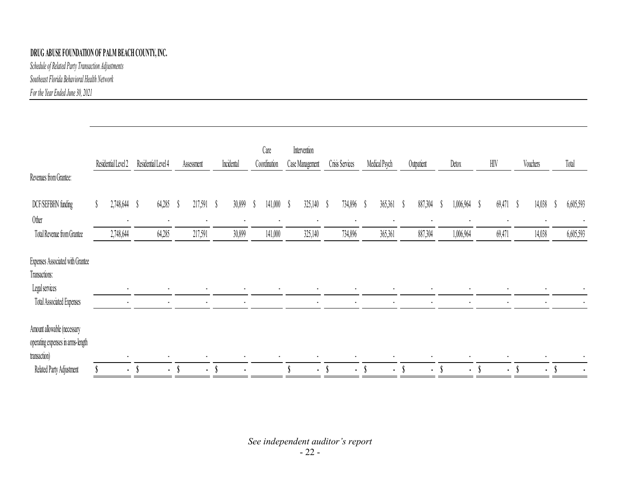*Schedule of Related Party Transaction Adjustments*

*Southeast Florida Behavioral Health Network*

*For the Year Ended June 30, 2021*

| Revenues from Grantee:            | Residential Level 2 |                | Residential Level 4 |                | Assessment     |        | Incidental     |           | Care<br>Coordination | Intervention<br>Case Management |            | Crisis Services |   | Medical Psych  | Outpatient     |   | Detox          |        | HIV            |     | Vouchers       | Total          |
|-----------------------------------|---------------------|----------------|---------------------|----------------|----------------|--------|----------------|-----------|----------------------|---------------------------------|------------|-----------------|---|----------------|----------------|---|----------------|--------|----------------|-----|----------------|----------------|
| DCF/SEFBHN funding                | S                   | 2,748,644      | 64,285<br>S         |                | 217,591<br>- S | S      | 30,899         | $\lambda$ | $141,000$ \$         | 325,140                         | S          | 734,896         | S | 365,361        | 887,304        | S | 1,006,964      | $\int$ | 69,471         | - S | 14,038         | 6,605,593      |
| Other                             |                     | $\blacksquare$ |                     | $\blacksquare$ | $\blacksquare$ |        | $\blacksquare$ |           | $\blacksquare$       | $\blacksquare$                  |            | $\blacksquare$  |   | $\blacksquare$ | $\blacksquare$ |   | $\blacksquare$ |        | $\blacksquare$ |     |                | $\blacksquare$ |
| Total Revenue from Grantee        |                     | 2,748,644      | 64,285              |                | 217,591        |        | 30,899         |           | 141,000              | 325,140                         |            | 734,896         |   | 365,361        | 887,304        |   | 1,006,964      |        | 69,471         |     | 14,038         | 6,605,593      |
| Expenses Associated with Grantee  |                     |                |                     |                |                |        |                |           |                      |                                 |            |                 |   |                |                |   |                |        |                |     |                |                |
| Transactions:                     |                     |                |                     |                |                |        |                |           |                      |                                 |            |                 |   |                |                |   |                |        |                |     |                |                |
| Legal services                    |                     | $\blacksquare$ |                     | $\blacksquare$ | $\blacksquare$ |        | $\blacksquare$ |           |                      |                                 |            | $\blacksquare$  |   | $\blacksquare$ | $\blacksquare$ |   |                |        |                |     |                |                |
| <b>Total Associated Expenses</b>  |                     |                |                     | $\blacksquare$ | $\blacksquare$ |        | $\blacksquare$ |           |                      | $\blacksquare$                  |            | $\blacksquare$  |   |                | $\blacksquare$ |   | $\blacksquare$ |        |                |     |                |                |
| Amount allowable (necessary       |                     |                |                     |                |                |        |                |           |                      |                                 |            |                 |   |                |                |   |                |        |                |     |                |                |
| operating expenses in arms-length |                     |                |                     |                |                |        |                |           |                      |                                 |            |                 |   |                |                |   |                |        |                |     |                |                |
| transaction)                      |                     |                |                     | $\blacksquare$ |                |        |                |           | $\blacksquare$       |                                 |            |                 |   |                |                |   |                |        |                |     |                |                |
| Related Party Adjustment          |                     | ×.             |                     | $-S$           |                | $-$ \$ |                |           |                      |                                 | $\cdot$ \$ | $\blacksquare$  |   | $\sim$         | $\blacksquare$ |   | $\sim$         | J.     | $\sim$         |     | $\blacksquare$ |                |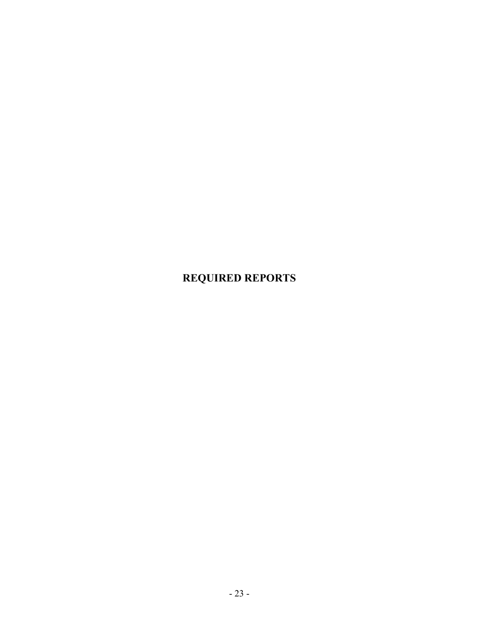# **REQUIRED REPORTS**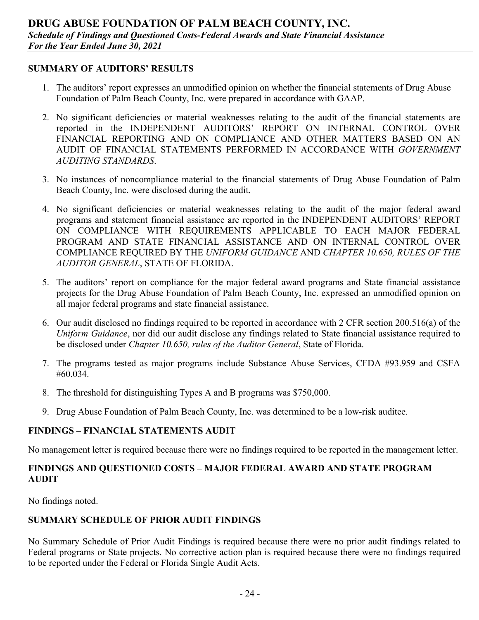#### **SUMMARY OF AUDITORS' RESULTS**

- 1. The auditors' report expresses an unmodified opinion on whether the financial statements of Drug Abuse Foundation of Palm Beach County, Inc. were prepared in accordance with GAAP.
- 2. No significant deficiencies or material weaknesses relating to the audit of the financial statements are reported in the INDEPENDENT AUDITORS' REPORT ON INTERNAL CONTROL OVER FINANCIAL REPORTING AND ON COMPLIANCE AND OTHER MATTERS BASED ON AN AUDIT OF FINANCIAL STATEMENTS PERFORMED IN ACCORDANCE WITH *GOVERNMENT AUDITING STANDARDS*.
- 3. No instances of noncompliance material to the financial statements of Drug Abuse Foundation of Palm Beach County, Inc. were disclosed during the audit.
- 4. No significant deficiencies or material weaknesses relating to the audit of the major federal award programs and statement financial assistance are reported in the INDEPENDENT AUDITORS' REPORT ON COMPLIANCE WITH REQUIREMENTS APPLICABLE TO EACH MAJOR FEDERAL PROGRAM AND STATE FINANCIAL ASSISTANCE AND ON INTERNAL CONTROL OVER COMPLIANCE REQUIRED BY THE *UNIFORM GUIDANCE* AND *CHAPTER 10.650, RULES OF THE AUDITOR GENERAL*, STATE OF FLORIDA.
- 5. The auditors' report on compliance for the major federal award programs and State financial assistance projects for the Drug Abuse Foundation of Palm Beach County, Inc. expressed an unmodified opinion on all major federal programs and state financial assistance.
- 6. Our audit disclosed no findings required to be reported in accordance with 2 CFR section 200.516(a) of the *Uniform Guidance*, nor did our audit disclose any findings related to State financial assistance required to be disclosed under *Chapter 10.650, rules of the Auditor General*, State of Florida.
- 7. The programs tested as major programs include Substance Abuse Services, CFDA #93.959 and CSFA #60.034.
- 8. The threshold for distinguishing Types A and B programs was \$750,000.
- 9. Drug Abuse Foundation of Palm Beach County, Inc. was determined to be a low-risk auditee.

### **FINDINGS – FINANCIAL STATEMENTS AUDIT**

No management letter is required because there were no findings required to be reported in the management letter.

## **FINDINGS AND QUESTIONED COSTS – MAJOR FEDERAL AWARD AND STATE PROGRAM AUDIT**

No findings noted.

### **SUMMARY SCHEDULE OF PRIOR AUDIT FINDINGS**

No Summary Schedule of Prior Audit Findings is required because there were no prior audit findings related to Federal programs or State projects. No corrective action plan is required because there were no findings required to be reported under the Federal or Florida Single Audit Acts.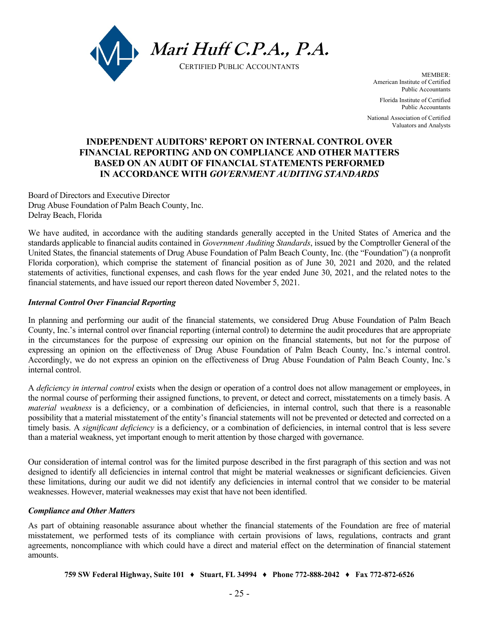

MEMBER: American Institute of Certified Public Accountants

Florida Institute of Certified Public Accountants

National Association of Certified Valuators and Analysts

#### **INDEPENDENT AUDITORS' REPORT ON INTERNAL CONTROL OVER FINANCIAL REPORTING AND ON COMPLIANCE AND OTHER MATTERS BASED ON AN AUDIT OF FINANCIAL STATEMENTS PERFORMED IN ACCORDANCE WITH** *GOVERNMENT AUDITING STANDARDS*

Board of Directors and Executive Director Drug Abuse Foundation of Palm Beach County, Inc. Delray Beach, Florida

We have audited, in accordance with the auditing standards generally accepted in the United States of America and the standards applicable to financial audits contained in *Government Auditing Standards*, issued by the Comptroller General of the United States, the financial statements of Drug Abuse Foundation of Palm Beach County, Inc. (the "Foundation") (a nonprofit Florida corporation), which comprise the statement of financial position as of June 30, 2021 and 2020, and the related statements of activities, functional expenses, and cash flows for the year ended June 30, 2021, and the related notes to the financial statements, and have issued our report thereon dated November 5, 2021.

#### *Internal Control Over Financial Reporting*

In planning and performing our audit of the financial statements, we considered Drug Abuse Foundation of Palm Beach County, Inc.'s internal control over financial reporting (internal control) to determine the audit procedures that are appropriate in the circumstances for the purpose of expressing our opinion on the financial statements, but not for the purpose of expressing an opinion on the effectiveness of Drug Abuse Foundation of Palm Beach County, Inc.'s internal control. Accordingly, we do not express an opinion on the effectiveness of Drug Abuse Foundation of Palm Beach County, Inc.'s internal control.

A *deficiency in internal control* exists when the design or operation of a control does not allow management or employees, in the normal course of performing their assigned functions, to prevent, or detect and correct, misstatements on a timely basis. A *material weakness* is a deficiency, or a combination of deficiencies, in internal control, such that there is a reasonable possibility that a material misstatement of the entity's financial statements will not be prevented or detected and corrected on a timely basis. A *significant deficiency* is a deficiency, or a combination of deficiencies, in internal control that is less severe than a material weakness, yet important enough to merit attention by those charged with governance.

Our consideration of internal control was for the limited purpose described in the first paragraph of this section and was not designed to identify all deficiencies in internal control that might be material weaknesses or significant deficiencies. Given these limitations, during our audit we did not identify any deficiencies in internal control that we consider to be material weaknesses. However, material weaknesses may exist that have not been identified.

#### *Compliance and Other Matters*

As part of obtaining reasonable assurance about whether the financial statements of the Foundation are free of material misstatement, we performed tests of its compliance with certain provisions of laws, regulations, contracts and grant agreements, noncompliance with which could have a direct and material effect on the determination of financial statement amounts.

**759 SW Federal Highway, Suite 101 ♦ Stuart, FL 34994 ♦ Phone 772-888-2042 ♦ Fax 772-872-6526**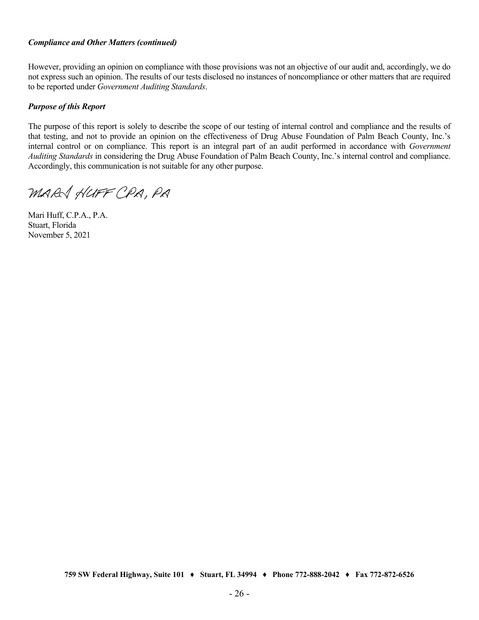#### *Compliance and Other Matters (continued)*

However, providing an opinion on compliance with those provisions was not an objective of our audit and, accordingly, we do not express such an opinion. The results of our tests disclosed no instances of noncompliance or other matters that are required to be reported under *Government Auditing Standards*.

#### *Purpose of this Report*

The purpose of this report is solely to describe the scope of our testing of internal control and compliance and the results of that testing, and not to provide an opinion on the effectiveness of Drug Abuse Foundation of Palm Beach County, Inc.'s internal control or on compliance. This report is an integral part of an audit performed in accordance with *Government Auditing Standards* in considering the Drug Abuse Foundation of Palm Beach County, Inc.'s internal control and compliance. Accordingly, this communication is not suitable for any other purpose.

MARY HUFF CPA, PA

Mari Huff, C.P.A., P.A. Stuart, Florida November 5, 2021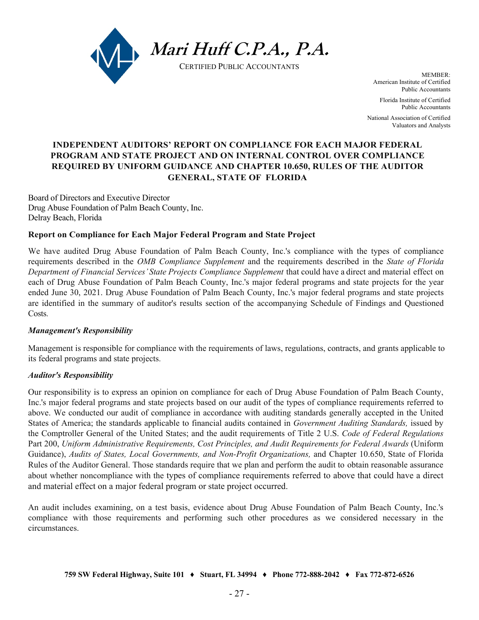

MEMBER: American Institute of Certified Public Accountants

> Florida Institute of Certified Public Accountants

National Association of Certified Valuators and Analysts

#### **INDEPENDENT AUDITORS' REPORT ON COMPLIANCE FOR EACH MAJOR FEDERAL PROGRAM AND STATE PROJECT AND ON INTERNAL CONTROL OVER COMPLIANCE REQUIRED BY UNIFORM GUIDANCE AND CHAPTER 10.650, RULES OF THE AUDITOR GENERAL, STATE OF FLORIDA**

Board of Directors and Executive Director Drug Abuse Foundation of Palm Beach County, Inc. Delray Beach, Florida

#### **Report on Compliance for Each Major Federal Program and State Project**

We have audited Drug Abuse Foundation of Palm Beach County, Inc.'s compliance with the types of compliance requirements described in the *OMB Compliance Supplement* and the requirements described in the *State of Florida Department of Financial Services' State Projects Compliance Supplement* that could have a direct and material effect on each of Drug Abuse Foundation of Palm Beach County, Inc.'s major federal programs and state projects for the year ended June 30, 2021. Drug Abuse Foundation of Palm Beach County, Inc.'s major federal programs and state projects are identified in the summary of auditor's results section of the accompanying Schedule of Findings and Questioned Costs.

#### *Management's Responsibility*

Management is responsible for compliance with the requirements of laws, regulations, contracts, and grants applicable to its federal programs and state projects.

#### *Auditor's Responsibility*

Our responsibility is to express an opinion on compliance for each of Drug Abuse Foundation of Palm Beach County, Inc.'s major federal programs and state projects based on our audit of the types of compliance requirements referred to above. We conducted our audit of compliance in accordance with auditing standards generally accepted in the United States of America; the standards applicable to financial audits contained in *Government Auditing Standards,* issued by the Comptroller General of the United States; and the audit requirements of Title 2 U.S. *Code of Federal Regulations*  Part 200, *Uniform Administrative Requirements, Cost Principles, and Audit Requirements for Federal Awards* (Uniform Guidance), *Audits of States, Local Governments, and Non-Profit Organizations,* and Chapter 10.650, State of Florida Rules of the Auditor General. Those standards require that we plan and perform the audit to obtain reasonable assurance about whether noncompliance with the types of compliance requirements referred to above that could have a direct and material effect on a major federal program or state project occurred.

An audit includes examining, on a test basis, evidence about Drug Abuse Foundation of Palm Beach County, Inc.'s compliance with those requirements and performing such other procedures as we considered necessary in the circumstances.